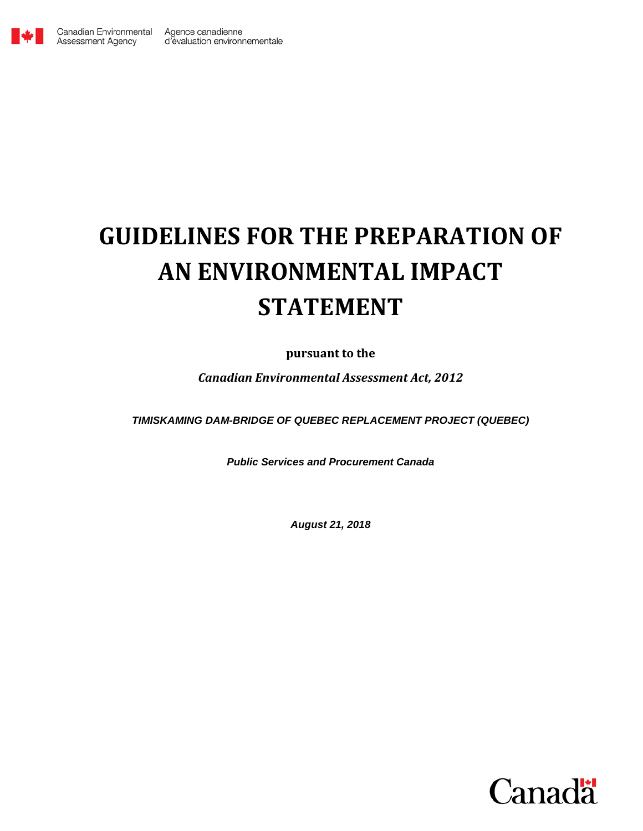

Assessment Agency

# <span id="page-0-0"></span>**GUIDELINES FOR THE PREPARATION OF AN ENVIRONMENTAL IMPACT STATEMENT**

# **pursuant to the**

*Canadian Environmental Assessment Act, 2012*

*TIMISKAMING DAM-BRIDGE OF QUEBEC REPLACEMENT PROJECT (QUEBEC)*

*Public Services and Procurement Canada*

*August 21, 2018*

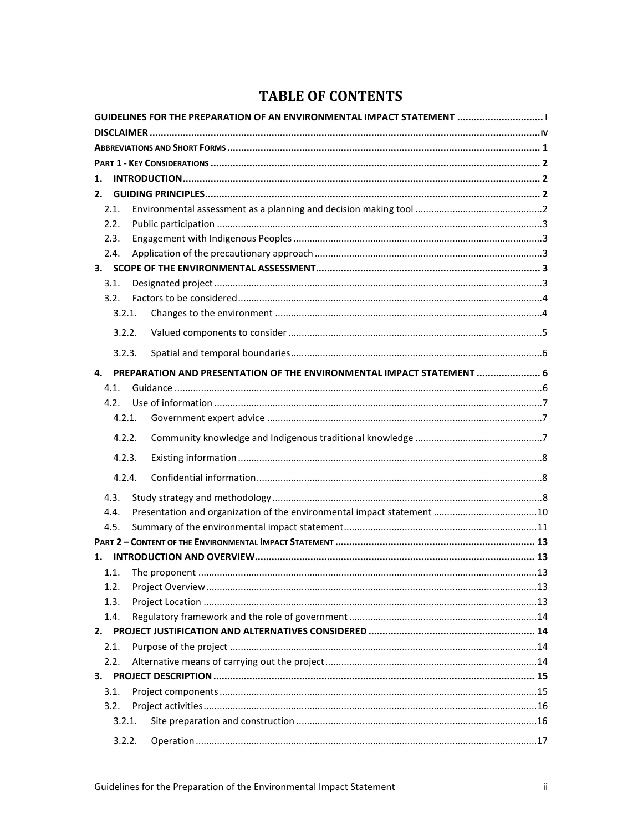# **TABLE OF CONTENTS**

| GUIDELINES FOR THE PREPARATION OF AN ENVIRONMENTAL IMPACT STATEMENT  I |        |                                                                       |  |  |  |  |  |
|------------------------------------------------------------------------|--------|-----------------------------------------------------------------------|--|--|--|--|--|
|                                                                        |        |                                                                       |  |  |  |  |  |
|                                                                        |        |                                                                       |  |  |  |  |  |
|                                                                        |        |                                                                       |  |  |  |  |  |
| 1.                                                                     |        |                                                                       |  |  |  |  |  |
| 2.                                                                     |        |                                                                       |  |  |  |  |  |
| 2.1.                                                                   |        |                                                                       |  |  |  |  |  |
| 2.2.                                                                   |        |                                                                       |  |  |  |  |  |
| 2.3.                                                                   |        |                                                                       |  |  |  |  |  |
| 2.4.                                                                   |        |                                                                       |  |  |  |  |  |
|                                                                        |        |                                                                       |  |  |  |  |  |
| 3.1.                                                                   |        |                                                                       |  |  |  |  |  |
| 3.2.                                                                   |        |                                                                       |  |  |  |  |  |
|                                                                        | 3.2.1. |                                                                       |  |  |  |  |  |
|                                                                        | 3.2.2. |                                                                       |  |  |  |  |  |
|                                                                        | 3.2.3. |                                                                       |  |  |  |  |  |
| 4.                                                                     |        | PREPARATION AND PRESENTATION OF THE ENVIRONMENTAL IMPACT STATEMENT  6 |  |  |  |  |  |
| 4.1.                                                                   |        |                                                                       |  |  |  |  |  |
| 4.2.                                                                   |        |                                                                       |  |  |  |  |  |
|                                                                        | 4.2.1. |                                                                       |  |  |  |  |  |
|                                                                        | 4.2.2. |                                                                       |  |  |  |  |  |
|                                                                        | 4.2.3. |                                                                       |  |  |  |  |  |
|                                                                        |        |                                                                       |  |  |  |  |  |
|                                                                        | 4.2.4. |                                                                       |  |  |  |  |  |
| 4.3.                                                                   |        |                                                                       |  |  |  |  |  |
| 4.4.                                                                   |        |                                                                       |  |  |  |  |  |
| 4.5.                                                                   |        |                                                                       |  |  |  |  |  |
|                                                                        |        |                                                                       |  |  |  |  |  |
| 1.                                                                     |        |                                                                       |  |  |  |  |  |
| 1.1.                                                                   |        |                                                                       |  |  |  |  |  |
| 1.2.                                                                   |        |                                                                       |  |  |  |  |  |
| 1.3.                                                                   |        |                                                                       |  |  |  |  |  |
| 1.4.                                                                   |        |                                                                       |  |  |  |  |  |
| 2.                                                                     |        |                                                                       |  |  |  |  |  |
| 2.1.                                                                   |        |                                                                       |  |  |  |  |  |
| 2.2.                                                                   |        |                                                                       |  |  |  |  |  |
|                                                                        |        |                                                                       |  |  |  |  |  |
| 3.1.                                                                   |        |                                                                       |  |  |  |  |  |
| 3.2.                                                                   |        |                                                                       |  |  |  |  |  |
|                                                                        | 3.2.1. |                                                                       |  |  |  |  |  |
|                                                                        | 3.2.2. |                                                                       |  |  |  |  |  |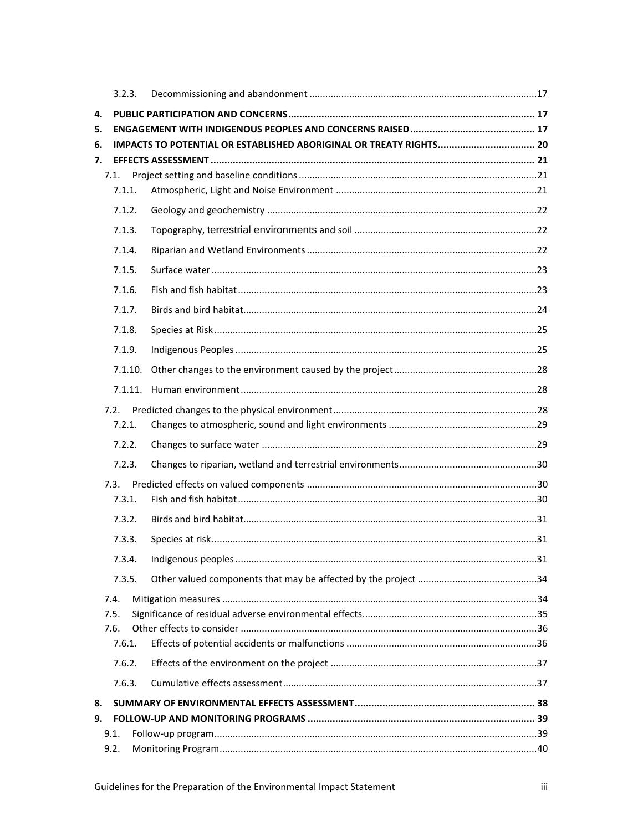|    | 3.2.3.         |  |
|----|----------------|--|
| 4. |                |  |
| 5. |                |  |
| 6. |                |  |
| 7. |                |  |
|    | 7.1.<br>7.1.1. |  |
|    |                |  |
|    | 7.1.2.         |  |
|    | 7.1.3.         |  |
|    | 7.1.4.         |  |
|    | 7.1.5.         |  |
|    | 7.1.6.         |  |
|    | 7.1.7.         |  |
|    | 7.1.8.         |  |
|    | 7.1.9.         |  |
|    | 7.1.10.        |  |
|    |                |  |
|    | 7.2.           |  |
|    | 7.2.1.         |  |
|    | 7.2.2.         |  |
|    | 7.2.3.         |  |
|    | 7.3.           |  |
|    | 7.3.1.         |  |
|    | 7.3.2.         |  |
|    | 7.3.3.         |  |
|    |                |  |
|    | 7.3.5.         |  |
|    | 7.4.           |  |
|    | 7.5.           |  |
|    | 7.6.           |  |
|    | 7.6.1.         |  |
|    | 7.6.2.         |  |
|    | 7.6.3.         |  |
| 8. |                |  |
| 9. |                |  |
|    | 9.1.           |  |
|    | 9.2.           |  |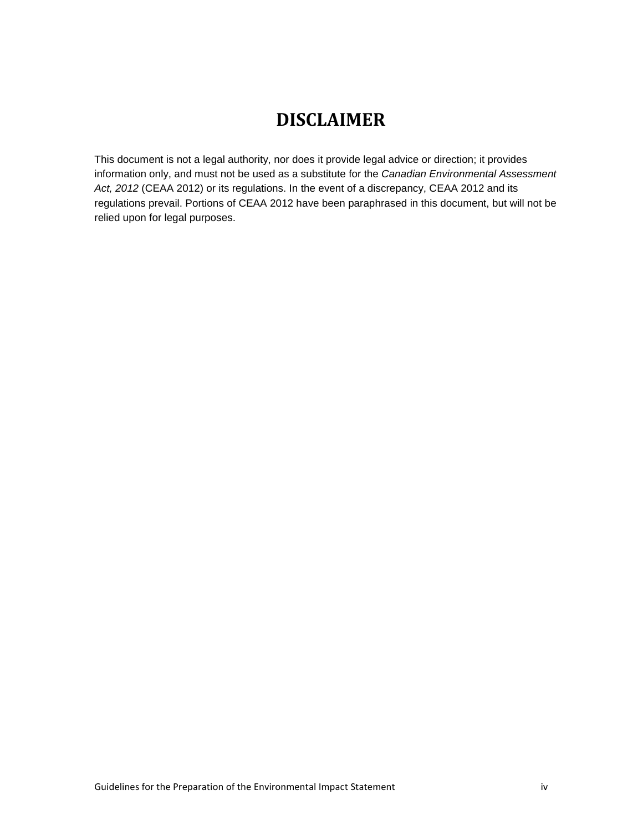# **DISCLAIMER**

<span id="page-3-0"></span>This document is not a legal authority, nor does it provide legal advice or direction; it provides information only, and must not be used as a substitute for the *Canadian Environmental Assessment Act, 2012* (CEAA 2012) or its regulations. In the event of a discrepancy, CEAA 2012 and its regulations prevail. Portions of CEAA 2012 have been paraphrased in this document, but will not be relied upon for legal purposes.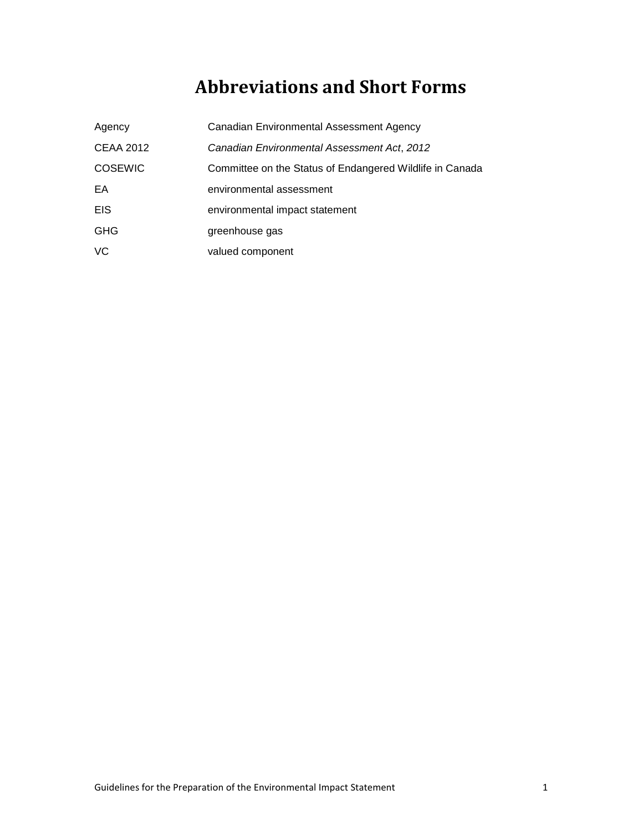# **Abbreviations and Short Forms**

<span id="page-4-0"></span>

| Agency           | Canadian Environmental Assessment Agency                 |
|------------------|----------------------------------------------------------|
| <b>CEAA 2012</b> | Canadian Environmental Assessment Act, 2012              |
| <b>COSEWIC</b>   | Committee on the Status of Endangered Wildlife in Canada |
| EA               | environmental assessment                                 |
| <b>EIS</b>       | environmental impact statement                           |
| <b>GHG</b>       | greenhouse gas                                           |
| VC               | valued component                                         |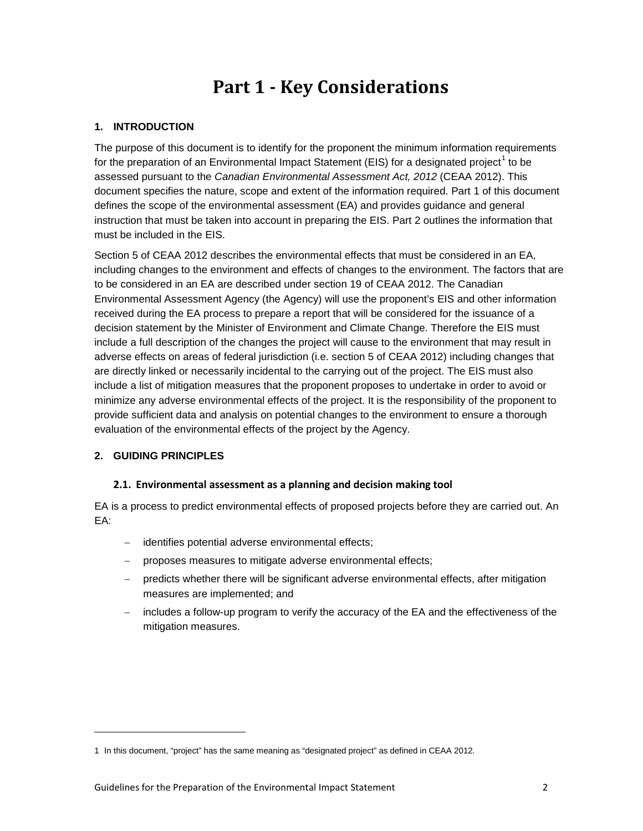# **Part 1 - Key Considerations**

# <span id="page-5-1"></span><span id="page-5-0"></span>**1. INTRODUCTION**

The purpose of this document is to identify for the proponent the minimum information requirements for the preparation of an Environmental Impact Statement (EIS) for a designated project<sup>[1](#page-5-4)</sup> to be assessed pursuant to the *Canadian Environmental Assessment Act, 2012* (CEAA 2012). This document specifies the nature, scope and extent of the information required. Part 1 of this document defines the scope of the environmental assessment (EA) and provides guidance and general instruction that must be taken into account in preparing the EIS. Part 2 outlines the information that must be included in the EIS.

Section 5 of CEAA 2012 describes the environmental effects that must be considered in an EA, including changes to the environment and effects of changes to the environment. The factors that are to be considered in an EA are described under section 19 of CEAA 2012. The Canadian Environmental Assessment Agency (the Agency) will use the proponent's EIS and other information received during the EA process to prepare a report that will be considered for the issuance of a decision statement by the Minister of Environment and Climate Change. Therefore the EIS must include a full description of the changes the project will cause to the environment that may result in adverse effects on areas of federal jurisdiction (i.e. section 5 of CEAA 2012) including changes that are directly linked or necessarily incidental to the carrying out of the project. The EIS must also include a list of mitigation measures that the proponent proposes to undertake in order to avoid or minimize any adverse environmental effects of the project. It is the responsibility of the proponent to provide sufficient data and analysis on potential changes to the environment to ensure a thorough evaluation of the environmental effects of the project by the Agency.

### <span id="page-5-3"></span><span id="page-5-2"></span>**2. GUIDING PRINCIPLES**

-

### **2.1. Environmental assessment as a planning and decision making tool**

EA is a process to predict environmental effects of proposed projects before they are carried out. An EA:

- identifies potential adverse environmental effects;
- proposes measures to mitigate adverse environmental effects;
- − predicts whether there will be significant adverse environmental effects, after mitigation measures are implemented; and
- includes a follow-up program to verify the accuracy of the EA and the effectiveness of the mitigation measures.

<span id="page-5-4"></span><sup>1</sup> In this document, "project" has the same meaning as "designated project" as defined in CEAA 2012*.*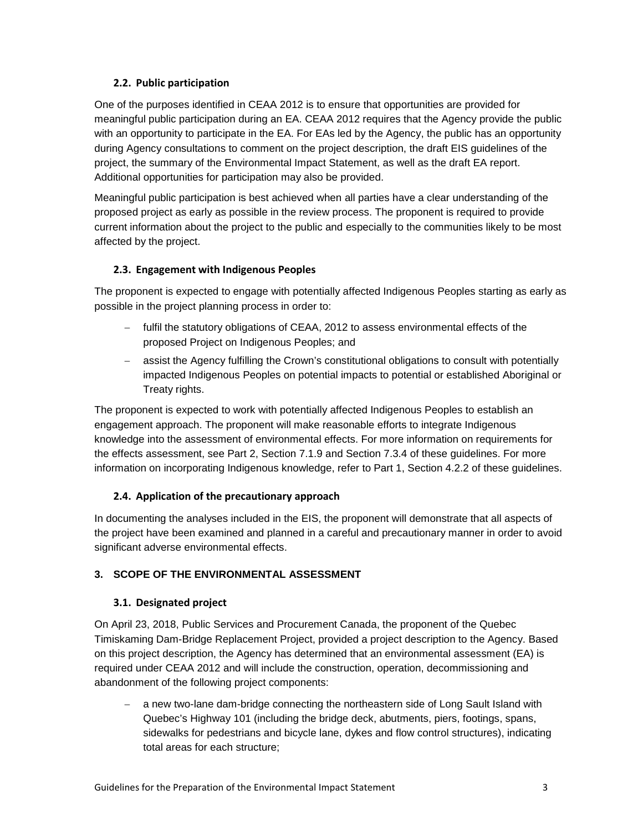# <span id="page-6-0"></span>**2.2. Public participation**

One of the purposes identified in CEAA 2012 is to ensure that opportunities are provided for meaningful public participation during an EA. CEAA 2012 requires that the Agency provide the public with an opportunity to participate in the EA. For EAs led by the Agency, the public has an opportunity during Agency consultations to comment on the project description, the draft EIS guidelines of the project, the summary of the Environmental Impact Statement, as well as the draft EA report. Additional opportunities for participation may also be provided.

Meaningful public participation is best achieved when all parties have a clear understanding of the proposed project as early as possible in the review process. The proponent is required to provide current information about the project to the public and especially to the communities likely to be most affected by the project.

# <span id="page-6-1"></span>**2.3. Engagement with Indigenous Peoples**

The proponent is expected to engage with potentially affected Indigenous Peoples starting as early as possible in the project planning process in order to:

- − fulfil the statutory obligations of CEAA, 2012 to assess environmental effects of the proposed Project on Indigenous Peoples; and
- − assist the Agency fulfilling the Crown's constitutional obligations to consult with potentially impacted Indigenous Peoples on potential impacts to potential or established Aboriginal or Treaty rights.

The proponent is expected to work with potentially affected Indigenous Peoples to establish an engagement approach. The proponent will make reasonable efforts to integrate Indigenous knowledge into the assessment of environmental effects. For more information on requirements for the effects assessment, see Part 2, Section 7.1.9 and Section 7.3.4 of these guidelines. For more information on incorporating Indigenous knowledge, refer to Part 1, Section 4.2.2 of these guidelines.

# <span id="page-6-2"></span>**2.4. Application of the precautionary approach**

In documenting the analyses included in the EIS, the proponent will demonstrate that all aspects of the project have been examined and planned in a careful and precautionary manner in order to avoid significant adverse environmental effects.

# <span id="page-6-4"></span><span id="page-6-3"></span>**3. SCOPE OF THE ENVIRONMENTAL ASSESSMENT**

### **3.1. Designated project**

On April 23, 2018, Public Services and Procurement Canada, the proponent of the Quebec Timiskaming Dam-Bridge Replacement Project, provided a project description to the Agency. Based on this project description, the Agency has determined that an environmental assessment (EA) is required under CEAA 2012 and will include the construction, operation, decommissioning and abandonment of the following project components:

− a new two-lane dam-bridge connecting the northeastern side of Long Sault Island with Quebec's Highway 101 (including the bridge deck, abutments, piers, footings, spans, sidewalks for pedestrians and bicycle lane, dykes and flow control structures), indicating total areas for each structure;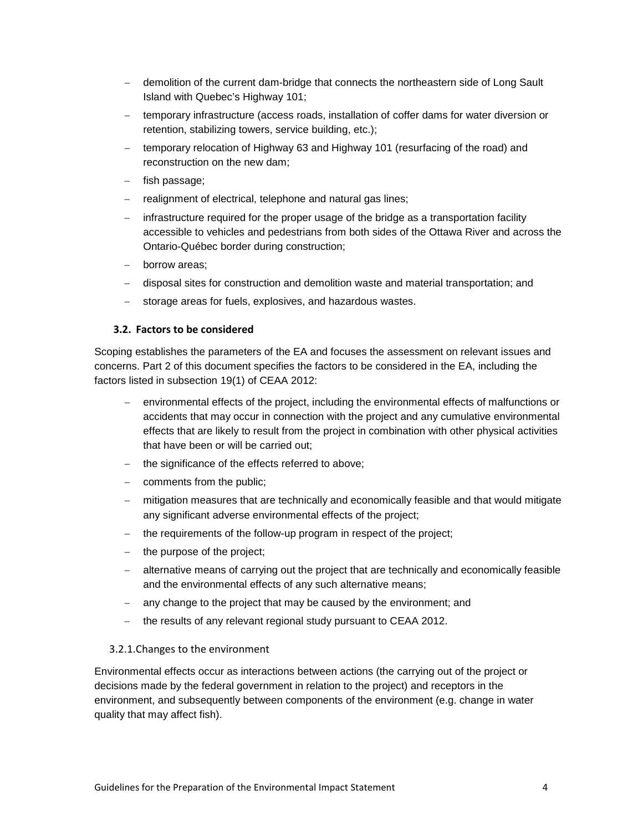- − demolition of the current dam-bridge that connects the northeastern side of Long Sault Island with Quebec's Highway 101;
- temporary infrastructure (access roads, installation of coffer dams for water diversion or retention, stabilizing towers, service building, etc.);
- − temporary relocation of Highway 63 and Highway 101 (resurfacing of the road) and reconstruction on the new dam;
- fish passage;
- realignment of electrical, telephone and natural gas lines;
- − infrastructure required for the proper usage of the bridge as a transportation facility accessible to vehicles and pedestrians from both sides of the Ottawa River and across the Ontario-Québec border during construction;
- borrow areas:
- − disposal sites for construction and demolition waste and material transportation; and
- storage areas for fuels, explosives, and hazardous wastes.

#### <span id="page-7-0"></span>**3.2. Factors to be considered**

Scoping establishes the parameters of the EA and focuses the assessment on relevant issues and concerns. Part 2 of this document specifies the factors to be considered in the EA, including the factors listed in subsection 19(1) of CEAA 2012:

- − environmental effects of the project, including the environmental effects of malfunctions or accidents that may occur in connection with the project and any cumulative environmental effects that are likely to result from the project in combination with other physical activities that have been or will be carried out;
- the significance of the effects referred to above;
- − comments from the public;
- − mitigation measures that are technically and economically feasible and that would mitigate any significant adverse environmental effects of the project;
- the requirements of the follow-up program in respect of the project;
- the purpose of the project;
- alternative means of carrying out the project that are technically and economically feasible and the environmental effects of any such alternative means;
- − any change to the project that may be caused by the environment; and
- − the results of any relevant regional study pursuant to CEAA 2012.

#### <span id="page-7-1"></span>3.2.1.Changes to the environment

Environmental effects occur as interactions between actions (the carrying out of the project or decisions made by the federal government in relation to the project) and receptors in the environment, and subsequently between components of the environment (e.g. change in water quality that may affect fish).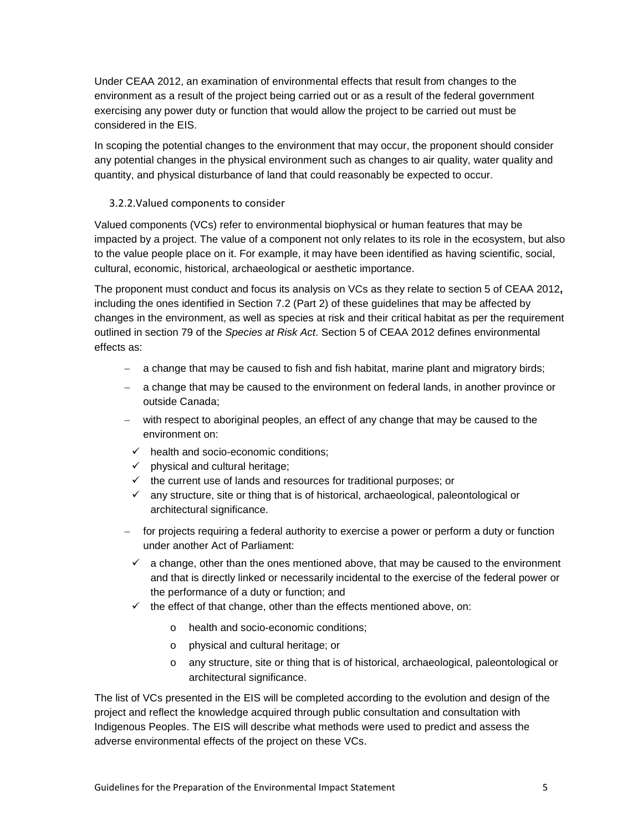Under CEAA 2012, an examination of environmental effects that result from changes to the environment as a result of the project being carried out or as a result of the federal government exercising any power duty or function that would allow the project to be carried out must be considered in the EIS.

In scoping the potential changes to the environment that may occur, the proponent should consider any potential changes in the physical environment such as changes to air quality, water quality and quantity, and physical disturbance of land that could reasonably be expected to occur.

# <span id="page-8-0"></span>3.2.2.Valued components to consider

Valued components (VCs) refer to environmental biophysical or human features that may be impacted by a project. The value of a component not only relates to its role in the ecosystem, but also to the value people place on it. For example, it may have been identified as having scientific, social, cultural, economic, historical, archaeological or aesthetic importance.

The proponent must conduct and focus its analysis on VCs as they relate to section 5 of CEAA 2012**,** including the ones identified in Section 7.2 (Part 2) of these guidelines that may be affected by changes in the environment, as well as species at risk and their critical habitat as per the requirement outlined in section 79 of the *Species at Risk Act*. Section 5 of CEAA 2012 defines environmental effects as:

- − a change that may be caused to fish and fish habitat, marine plant and migratory birds;
- − a change that may be caused to the environment on federal lands, in another province or outside Canada;
- − with respect to aboriginal peoples, an effect of any change that may be caused to the environment on:
	- $\checkmark$  health and socio-economic conditions:
	- $\checkmark$  physical and cultural heritage;
	- $\checkmark$  the current use of lands and resources for traditional purposes; or
	- $\checkmark$  any structure, site or thing that is of historical, archaeological, paleontological or architectural significance.
- − for projects requiring a federal authority to exercise a power or perform a duty or function under another Act of Parliament:
	- $\checkmark$  a change, other than the ones mentioned above, that may be caused to the environment and that is directly linked or necessarily incidental to the exercise of the federal power or the performance of a duty or function; and
	- $\checkmark$  the effect of that change, other than the effects mentioned above, on:
		- o health and socio-economic conditions;
		- o physical and cultural heritage; or
		- o any structure, site or thing that is of historical, archaeological, paleontological or architectural significance.

The list of VCs presented in the EIS will be completed according to the evolution and design of the project and reflect the knowledge acquired through public consultation and consultation with Indigenous Peoples. The EIS will describe what methods were used to predict and assess the adverse environmental effects of the project on these VCs.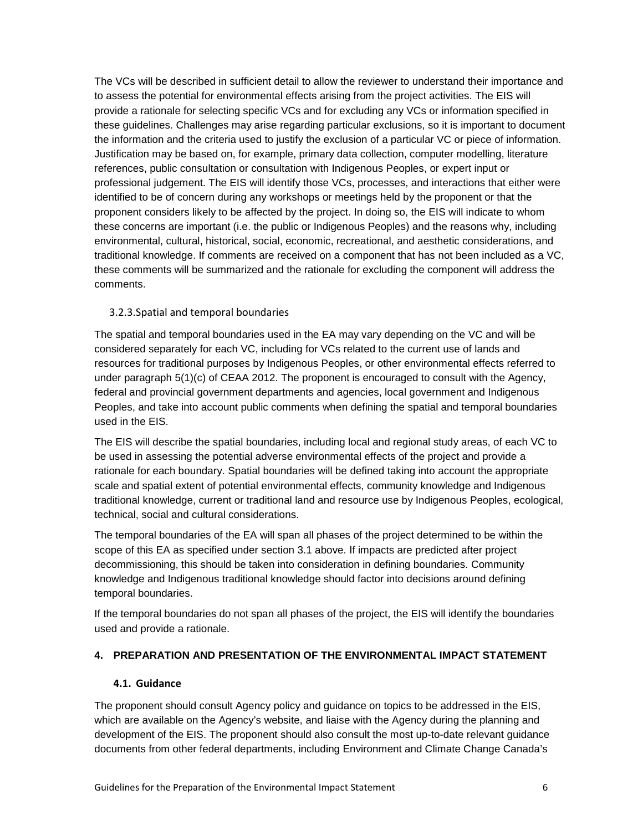The VCs will be described in sufficient detail to allow the reviewer to understand their importance and to assess the potential for environmental effects arising from the project activities. The EIS will provide a rationale for selecting specific VCs and for excluding any VCs or information specified in these guidelines. Challenges may arise regarding particular exclusions, so it is important to document the information and the criteria used to justify the exclusion of a particular VC or piece of information. Justification may be based on, for example, primary data collection, computer modelling, literature references, public consultation or consultation with Indigenous Peoples, or expert input or professional judgement. The EIS will identify those VCs, processes, and interactions that either were identified to be of concern during any workshops or meetings held by the proponent or that the proponent considers likely to be affected by the project. In doing so, the EIS will indicate to whom these concerns are important (i.e. the public or Indigenous Peoples) and the reasons why, including environmental, cultural, historical, social, economic, recreational, and aesthetic considerations, and traditional knowledge. If comments are received on a component that has not been included as a VC, these comments will be summarized and the rationale for excluding the component will address the comments.

# <span id="page-9-0"></span>3.2.3.Spatial and temporal boundaries

The spatial and temporal boundaries used in the EA may vary depending on the VC and will be considered separately for each VC, including for VCs related to the current use of lands and resources for traditional purposes by Indigenous Peoples, or other environmental effects referred to under paragraph 5(1)(c) of CEAA 2012. The proponent is encouraged to consult with the Agency, federal and provincial government departments and agencies, local government and Indigenous Peoples, and take into account public comments when defining the spatial and temporal boundaries used in the EIS.

The EIS will describe the spatial boundaries, including local and regional study areas, of each VC to be used in assessing the potential adverse environmental effects of the project and provide a rationale for each boundary. Spatial boundaries will be defined taking into account the appropriate scale and spatial extent of potential environmental effects, community knowledge and Indigenous traditional knowledge, current or traditional land and resource use by Indigenous Peoples, ecological, technical, social and cultural considerations.

The temporal boundaries of the EA will span all phases of the project determined to be within the scope of this EA as specified under section 3.1 above. If impacts are predicted after project decommissioning, this should be taken into consideration in defining boundaries. Community knowledge and Indigenous traditional knowledge should factor into decisions around defining temporal boundaries.

If the temporal boundaries do not span all phases of the project, the EIS will identify the boundaries used and provide a rationale.

# <span id="page-9-2"></span><span id="page-9-1"></span>**4. PREPARATION AND PRESENTATION OF THE ENVIRONMENTAL IMPACT STATEMENT**

### **4.1. Guidance**

The proponent should consult Agency policy and guidance on topics to be addressed in the EIS, which are available on the Agency's website, and liaise with the Agency during the planning and development of the EIS. The proponent should also consult the most up-to-date relevant guidance documents from other federal departments, including Environment and Climate Change Canada's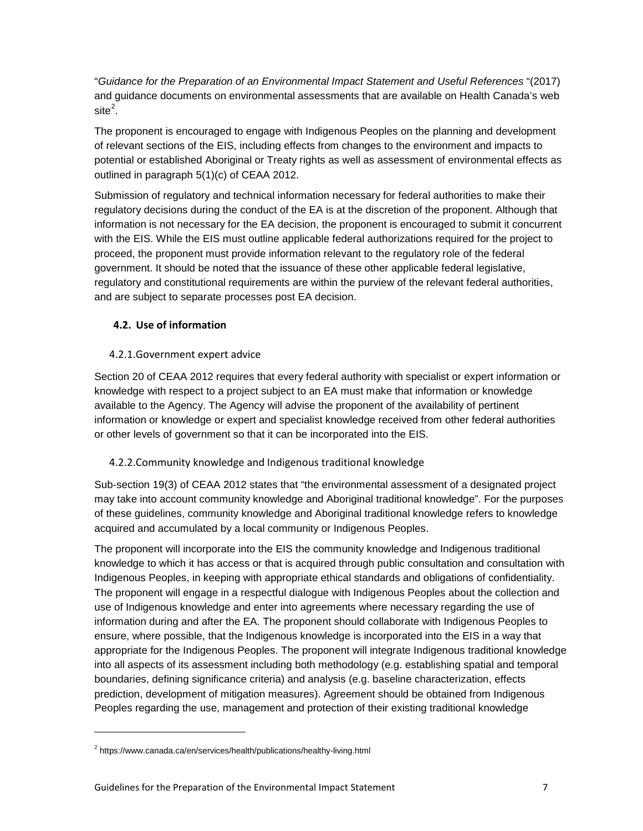"*Guidance for the Preparation of an Environmental Impact Statement and Useful References* "(2017) and guidance documents on environmental assessments that are available on Health Canada's web  $\mathsf{site}^2$  $\mathsf{site}^2$ .

The proponent is encouraged to engage with Indigenous Peoples on the planning and development of relevant sections of the EIS, including effects from changes to the environment and impacts to potential or established Aboriginal or Treaty rights as well as assessment of environmental effects as outlined in paragraph 5(1)(c) of CEAA 2012.

Submission of regulatory and technical information necessary for federal authorities to make their regulatory decisions during the conduct of the EA is at the discretion of the proponent. Although that information is not necessary for the EA decision, the proponent is encouraged to submit it concurrent with the EIS. While the EIS must outline applicable federal authorizations required for the project to proceed, the proponent must provide information relevant to the regulatory role of the federal government. It should be noted that the issuance of these other applicable federal legislative, regulatory and constitutional requirements are within the purview of the relevant federal authorities, and are subject to separate processes post EA decision.

# <span id="page-10-0"></span>**4.2. Use of information**

# <span id="page-10-1"></span>4.2.1.Government expert advice

Section 20 of CEAA 2012 requires that every federal authority with specialist or expert information or knowledge with respect to a project subject to an EA must make that information or knowledge available to the Agency. The Agency will advise the proponent of the availability of pertinent information or knowledge or expert and specialist knowledge received from other federal authorities or other levels of government so that it can be incorporated into the EIS.

# <span id="page-10-2"></span>4.2.2.Community knowledge and Indigenous traditional knowledge

Sub-section 19(3) of CEAA 2012 states that "the environmental assessment of a designated project may take into account community knowledge and Aboriginal traditional knowledge". For the purposes of these guidelines, community knowledge and Aboriginal traditional knowledge refers to knowledge acquired and accumulated by a local community or Indigenous Peoples.

The proponent will incorporate into the EIS the community knowledge and Indigenous traditional knowledge to which it has access or that is acquired through public consultation and consultation with Indigenous Peoples, in keeping with appropriate ethical standards and obligations of confidentiality. The proponent will engage in a respectful dialogue with Indigenous Peoples about the collection and use of Indigenous knowledge and enter into agreements where necessary regarding the use of information during and after the EA. The proponent should collaborate with Indigenous Peoples to ensure, where possible, that the Indigenous knowledge is incorporated into the EIS in a way that appropriate for the Indigenous Peoples. The proponent will integrate Indigenous traditional knowledge into all aspects of its assessment including both methodology (e.g. establishing spatial and temporal boundaries, defining significance criteria) and analysis (e.g. baseline characterization, effects prediction, development of mitigation measures). Agreement should be obtained from Indigenous Peoples regarding the use, management and protection of their existing traditional knowledge

<span id="page-10-3"></span><sup>&</sup>lt;sup>2</sup> https://www.canada.ca/en/services/health/publications/healthy-living.html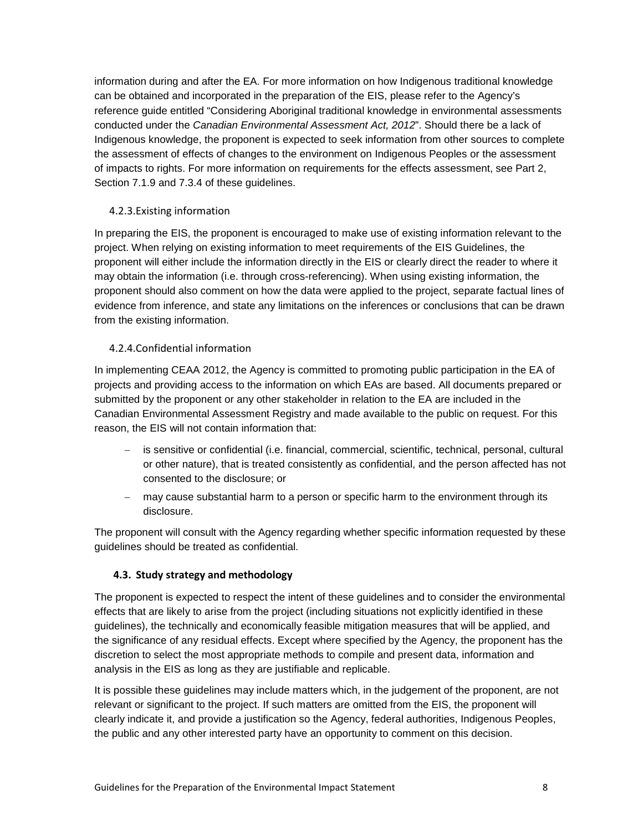information during and after the EA. For more information on how Indigenous traditional knowledge can be obtained and incorporated in the preparation of the EIS, please refer to the Agency's reference guide entitled "Considering Aboriginal traditional knowledge in environmental assessments conducted under the *Canadian Environmental Assessment Act, 2012*". Should there be a lack of Indigenous knowledge, the proponent is expected to seek information from other sources to complete the assessment of effects of changes to the environment on Indigenous Peoples or the assessment of impacts to rights. For more information on requirements for the effects assessment, see Part 2, Section 7.1.9 and 7.3.4 of these guidelines.

# <span id="page-11-0"></span>4.2.3.Existing information

In preparing the EIS, the proponent is encouraged to make use of existing information relevant to the project. When relying on existing information to meet requirements of the EIS Guidelines, the proponent will either include the information directly in the EIS or clearly direct the reader to where it may obtain the information (i.e. through cross-referencing). When using existing information, the proponent should also comment on how the data were applied to the project, separate factual lines of evidence from inference, and state any limitations on the inferences or conclusions that can be drawn from the existing information.

# <span id="page-11-1"></span>4.2.4.Confidential information

In implementing CEAA 2012, the Agency is committed to promoting public participation in the EA of projects and providing access to the information on which EAs are based. All documents prepared or submitted by the proponent or any other stakeholder in relation to the EA are included in the Canadian Environmental Assessment Registry and made available to the public on request. For this reason, the EIS will not contain information that:

- − is sensitive or confidential (i.e. financial, commercial, scientific, technical, personal, cultural or other nature), that is treated consistently as confidential, and the person affected has not consented to the disclosure; or
- − may cause substantial harm to a person or specific harm to the environment through its disclosure.

The proponent will consult with the Agency regarding whether specific information requested by these guidelines should be treated as confidential.

### <span id="page-11-2"></span>**4.3. Study strategy and methodology**

The proponent is expected to respect the intent of these guidelines and to consider the environmental effects that are likely to arise from the project (including situations not explicitly identified in these guidelines), the technically and economically feasible mitigation measures that will be applied, and the significance of any residual effects. Except where specified by the Agency, the proponent has the discretion to select the most appropriate methods to compile and present data, information and analysis in the EIS as long as they are justifiable and replicable.

It is possible these guidelines may include matters which, in the judgement of the proponent, are not relevant or significant to the project. If such matters are omitted from the EIS, the proponent will clearly indicate it, and provide a justification so the Agency, federal authorities, Indigenous Peoples, the public and any other interested party have an opportunity to comment on this decision.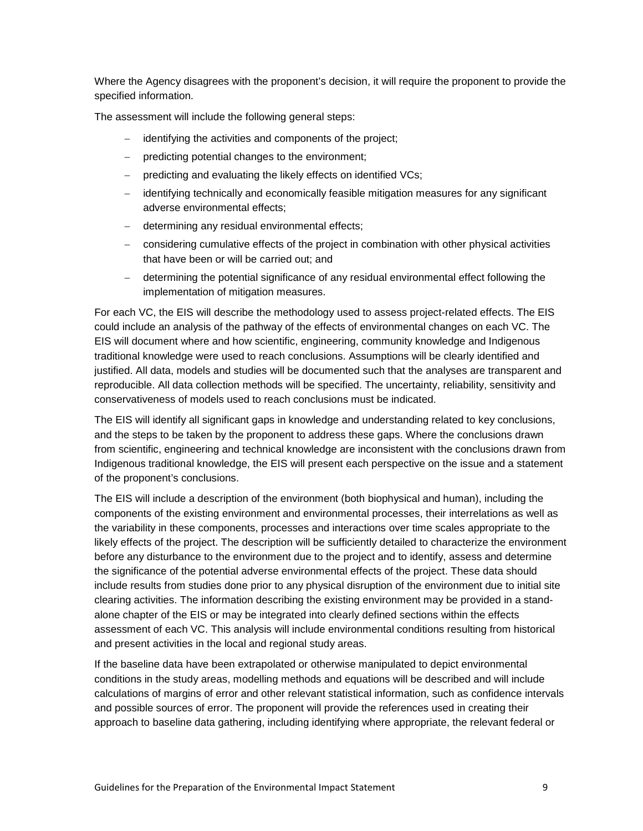Where the Agency disagrees with the proponent's decision, it will require the proponent to provide the specified information.

The assessment will include the following general steps:

- identifying the activities and components of the project;
- predicting potential changes to the environment;
- predicting and evaluating the likely effects on identified VCs;
- − identifying technically and economically feasible mitigation measures for any significant adverse environmental effects;
- − determining any residual environmental effects;
- − considering cumulative effects of the project in combination with other physical activities that have been or will be carried out; and
- − determining the potential significance of any residual environmental effect following the implementation of mitigation measures.

For each VC, the EIS will describe the methodology used to assess project-related effects. The EIS could include an analysis of the pathway of the effects of environmental changes on each VC. The EIS will document where and how scientific, engineering, community knowledge and Indigenous traditional knowledge were used to reach conclusions. Assumptions will be clearly identified and justified. All data, models and studies will be documented such that the analyses are transparent and reproducible. All data collection methods will be specified. The uncertainty, reliability, sensitivity and conservativeness of models used to reach conclusions must be indicated.

The EIS will identify all significant gaps in knowledge and understanding related to key conclusions, and the steps to be taken by the proponent to address these gaps. Where the conclusions drawn from scientific, engineering and technical knowledge are inconsistent with the conclusions drawn from Indigenous traditional knowledge, the EIS will present each perspective on the issue and a statement of the proponent's conclusions.

The EIS will include a description of the environment (both biophysical and human), including the components of the existing environment and environmental processes, their interrelations as well as the variability in these components, processes and interactions over time scales appropriate to the likely effects of the project. The description will be sufficiently detailed to characterize the environment before any disturbance to the environment due to the project and to identify, assess and determine the significance of the potential adverse environmental effects of the project. These data should include results from studies done prior to any physical disruption of the environment due to initial site clearing activities. The information describing the existing environment may be provided in a standalone chapter of the EIS or may be integrated into clearly defined sections within the effects assessment of each VC. This analysis will include environmental conditions resulting from historical and present activities in the local and regional study areas.

If the baseline data have been extrapolated or otherwise manipulated to depict environmental conditions in the study areas, modelling methods and equations will be described and will include calculations of margins of error and other relevant statistical information, such as confidence intervals and possible sources of error. The proponent will provide the references used in creating their approach to baseline data gathering, including identifying where appropriate, the relevant federal or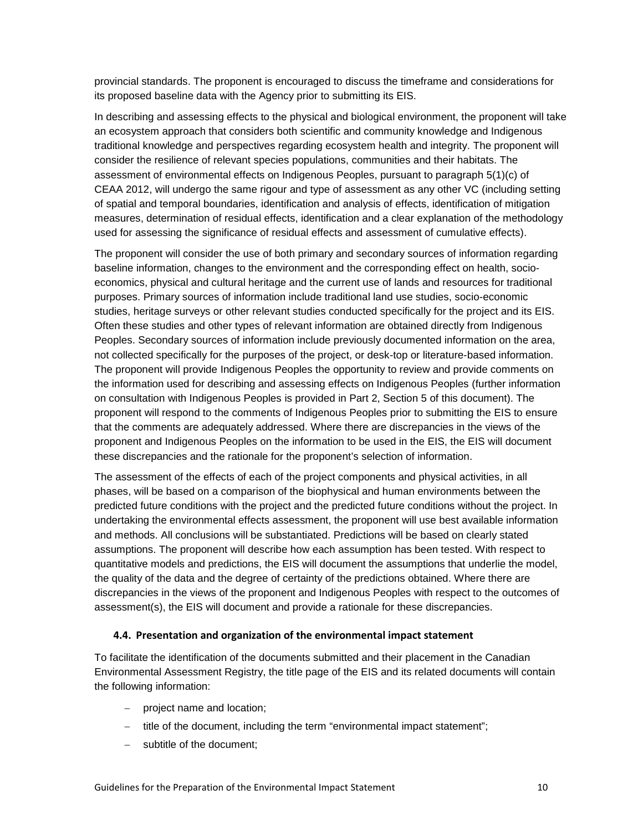provincial standards. The proponent is encouraged to discuss the timeframe and considerations for its proposed baseline data with the Agency prior to submitting its EIS.

In describing and assessing effects to the physical and biological environment, the proponent will take an ecosystem approach that considers both scientific and community knowledge and Indigenous traditional knowledge and perspectives regarding ecosystem health and integrity. The proponent will consider the resilience of relevant species populations, communities and their habitats. The assessment of environmental effects on Indigenous Peoples, pursuant to paragraph 5(1)(c) of CEAA 2012, will undergo the same rigour and type of assessment as any other VC (including setting of spatial and temporal boundaries, identification and analysis of effects, identification of mitigation measures, determination of residual effects, identification and a clear explanation of the methodology used for assessing the significance of residual effects and assessment of cumulative effects).

The proponent will consider the use of both primary and secondary sources of information regarding baseline information, changes to the environment and the corresponding effect on health, socioeconomics, physical and cultural heritage and the current use of lands and resources for traditional purposes. Primary sources of information include traditional land use studies, socio-economic studies, heritage surveys or other relevant studies conducted specifically for the project and its EIS. Often these studies and other types of relevant information are obtained directly from Indigenous Peoples. Secondary sources of information include previously documented information on the area, not collected specifically for the purposes of the project, or desk-top or literature-based information. The proponent will provide Indigenous Peoples the opportunity to review and provide comments on the information used for describing and assessing effects on Indigenous Peoples (further information on consultation with Indigenous Peoples is provided in Part 2, Section 5 of this document). The proponent will respond to the comments of Indigenous Peoples prior to submitting the EIS to ensure that the comments are adequately addressed. Where there are discrepancies in the views of the proponent and Indigenous Peoples on the information to be used in the EIS, the EIS will document these discrepancies and the rationale for the proponent's selection of information.

The assessment of the effects of each of the project components and physical activities, in all phases, will be based on a comparison of the biophysical and human environments between the predicted future conditions with the project and the predicted future conditions without the project. In undertaking the environmental effects assessment, the proponent will use best available information and methods. All conclusions will be substantiated. Predictions will be based on clearly stated assumptions. The proponent will describe how each assumption has been tested. With respect to quantitative models and predictions, the EIS will document the assumptions that underlie the model, the quality of the data and the degree of certainty of the predictions obtained. Where there are discrepancies in the views of the proponent and Indigenous Peoples with respect to the outcomes of assessment(s), the EIS will document and provide a rationale for these discrepancies.

#### <span id="page-13-0"></span>**4.4. Presentation and organization of the environmental impact statement**

To facilitate the identification of the documents submitted and their placement in the Canadian Environmental Assessment Registry, the title page of the EIS and its related documents will contain the following information:

- − project name and location;
- − title of the document, including the term "environmental impact statement";
- subtitle of the document;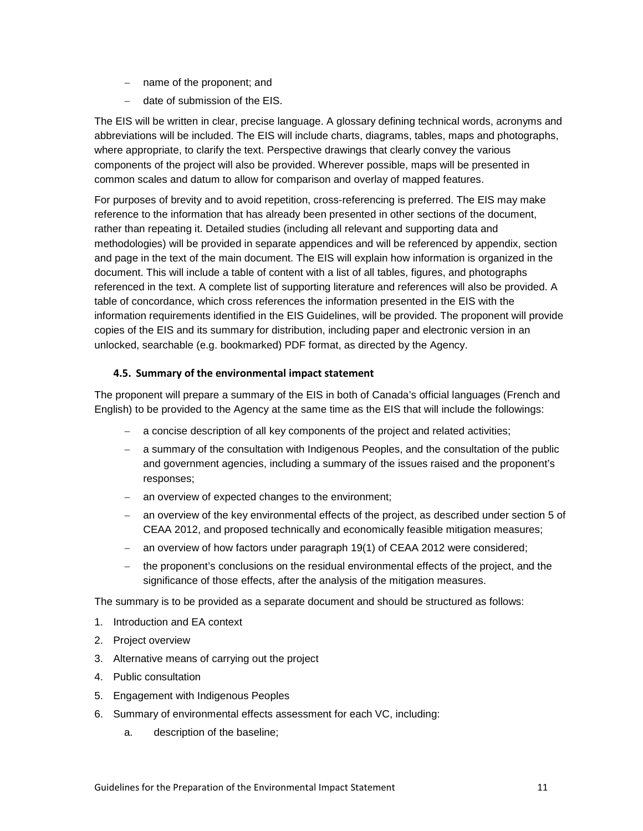- − name of the proponent; and
- − date of submission of the EIS.

The EIS will be written in clear, precise language. A glossary defining technical words, acronyms and abbreviations will be included. The EIS will include charts, diagrams, tables, maps and photographs, where appropriate, to clarify the text. Perspective drawings that clearly convey the various components of the project will also be provided. Wherever possible, maps will be presented in common scales and datum to allow for comparison and overlay of mapped features.

For purposes of brevity and to avoid repetition, cross-referencing is preferred. The EIS may make reference to the information that has already been presented in other sections of the document, rather than repeating it. Detailed studies (including all relevant and supporting data and methodologies) will be provided in separate appendices and will be referenced by appendix, section and page in the text of the main document. The EIS will explain how information is organized in the document. This will include a table of content with a list of all tables, figures, and photographs referenced in the text. A complete list of supporting literature and references will also be provided. A table of concordance, which cross references the information presented in the EIS with the information requirements identified in the EIS Guidelines, will be provided. The proponent will provide copies of the EIS and its summary for distribution, including paper and electronic version in an unlocked, searchable (e.g. bookmarked) PDF format, as directed by the Agency.

# <span id="page-14-0"></span>**4.5. Summary of the environmental impact statement**

The proponent will prepare a summary of the EIS in both of Canada's official languages (French and English) to be provided to the Agency at the same time as the EIS that will include the followings:

- − a concise description of all key components of the project and related activities;
- − a summary of the consultation with Indigenous Peoples, and the consultation of the public and government agencies, including a summary of the issues raised and the proponent's responses;
- an overview of expected changes to the environment;
- an overview of the key environmental effects of the project, as described under section 5 of CEAA 2012, and proposed technically and economically feasible mitigation measures;
- an overview of how factors under paragraph 19(1) of CEAA 2012 were considered;
- the proponent's conclusions on the residual environmental effects of the project, and the significance of those effects, after the analysis of the mitigation measures.

The summary is to be provided as a separate document and should be structured as follows:

- 1. Introduction and EA context
- 2. Project overview
- 3. Alternative means of carrying out the project
- 4. Public consultation
- 5. Engagement with Indigenous Peoples
- 6. Summary of environmental effects assessment for each VC, including:
	- a. description of the baseline;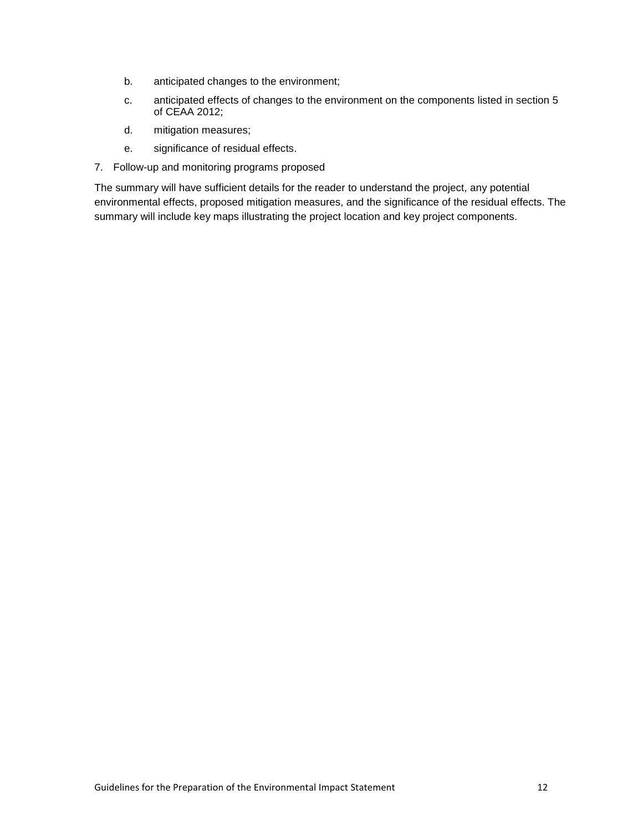- b. anticipated changes to the environment;
- c. anticipated effects of changes to the environment on the components listed in section 5 of CEAA 2012;
- d. mitigation measures;
- e. significance of residual effects.
- 7. Follow-up and monitoring programs proposed

The summary will have sufficient details for the reader to understand the project, any potential environmental effects, proposed mitigation measures, and the significance of the residual effects. The summary will include key maps illustrating the project location and key project components.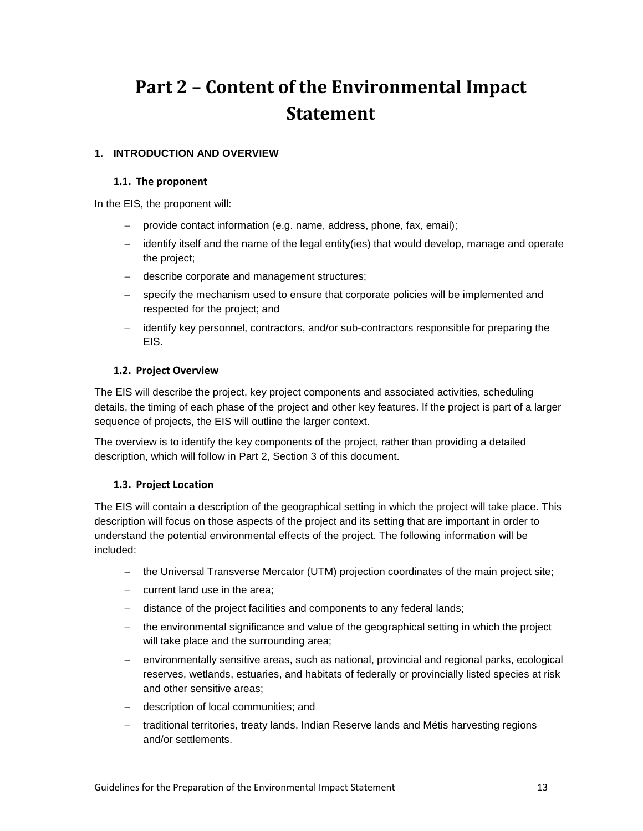# <span id="page-16-0"></span>**Part 2 – Content of the Environmental Impact Statement**

# <span id="page-16-2"></span><span id="page-16-1"></span>**1. INTRODUCTION AND OVERVIEW**

#### **1.1. The proponent**

In the EIS, the proponent will:

- − provide contact information (e.g. name, address, phone, fax, email);
- − identify itself and the name of the legal entity(ies) that would develop, manage and operate the project;
- − describe corporate and management structures;
- − specify the mechanism used to ensure that corporate policies will be implemented and respected for the project; and
- − identify key personnel, contractors, and/or sub-contractors responsible for preparing the EIS.

### <span id="page-16-3"></span>**1.2. Project Overview**

The EIS will describe the project, key project components and associated activities, scheduling details, the timing of each phase of the project and other key features. If the project is part of a larger sequence of projects, the EIS will outline the larger context.

The overview is to identify the key components of the project, rather than providing a detailed description, which will follow in Part 2, Section 3 of this document.

### <span id="page-16-4"></span>**1.3. Project Location**

The EIS will contain a description of the geographical setting in which the project will take place. This description will focus on those aspects of the project and its setting that are important in order to understand the potential environmental effects of the project. The following information will be included:

- − the Universal Transverse Mercator (UTM) projection coordinates of the main project site;
- − current land use in the area;
- − distance of the project facilities and components to any federal lands;
- − the environmental significance and value of the geographical setting in which the project will take place and the surrounding area;
- environmentally sensitive areas, such as national, provincial and regional parks, ecological reserves, wetlands, estuaries, and habitats of federally or provincially listed species at risk and other sensitive areas;
- − description of local communities; and
- − traditional territories, treaty lands, Indian Reserve lands and Métis harvesting regions and/or settlements.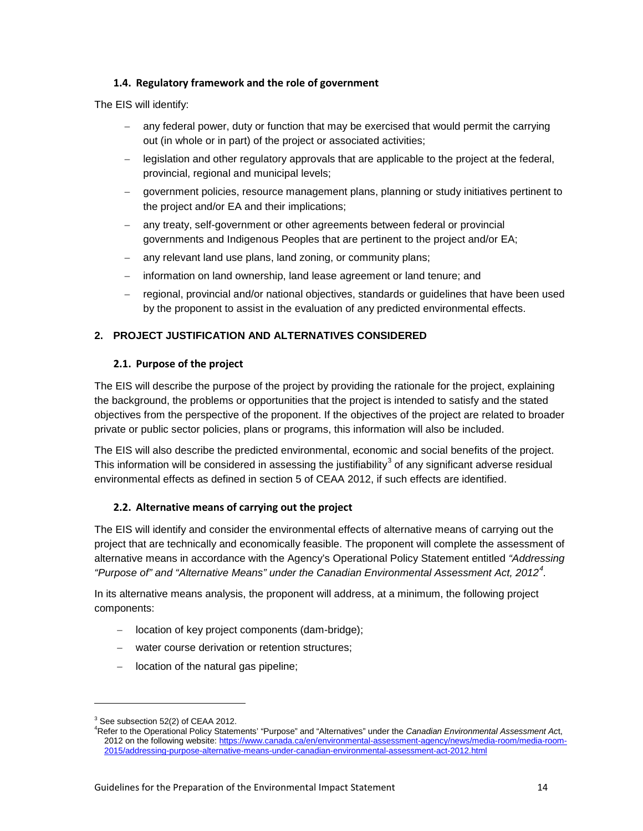# <span id="page-17-0"></span>**1.4. Regulatory framework and the role of government**

The EIS will identify:

- any federal power, duty or function that may be exercised that would permit the carrying out (in whole or in part) of the project or associated activities;
- − legislation and other regulatory approvals that are applicable to the project at the federal, provincial, regional and municipal levels;
- government policies, resource management plans, planning or study initiatives pertinent to the project and/or EA and their implications;
- any treaty, self-government or other agreements between federal or provincial governments and Indigenous Peoples that are pertinent to the project and/or EA;
- any relevant land use plans, land zoning, or community plans;
- information on land ownership, land lease agreement or land tenure; and
- − regional, provincial and/or national objectives, standards or guidelines that have been used by the proponent to assist in the evaluation of any predicted environmental effects.

# <span id="page-17-1"></span>**2. PROJECT JUSTIFICATION AND ALTERNATIVES CONSIDERED**

### <span id="page-17-2"></span>**2.1. Purpose of the project**

The EIS will describe the purpose of the project by providing the rationale for the project, explaining the background, the problems or opportunities that the project is intended to satisfy and the stated objectives from the perspective of the proponent. If the objectives of the project are related to broader private or public sector policies, plans or programs, this information will also be included.

The EIS will also describe the predicted environmental, economic and social benefits of the project. This information will be considered in assessing the justifiability<sup>[3](#page-17-4)</sup> of any significant adverse residual environmental effects as defined in section 5 of CEAA 2012, if such effects are identified.

### <span id="page-17-3"></span>**2.2. Alternative means of carrying out the project**

The EIS will identify and consider the environmental effects of alternative means of carrying out the project that are technically and economically feasible. The proponent will complete the assessment of alternative means in accordance with the Agency's Operational Policy Statement entitled *"Addressing "Purpose of" and "Alternative Means" under the Canadian Environmental Assessment Act, 2012[4](#page-17-5) .*

In its alternative means analysis, the proponent will address, at a minimum, the following project components:

- − location of key project components (dam-bridge);
- water course derivation or retention structures;
- − location of the natural gas pipeline;

<span id="page-17-4"></span> $3$  See subsection 52(2) of CEAA 2012.

<span id="page-17-5"></span>Refer to the Operational Policy Statements' "Purpose" and "Alternatives" under the *Canadian Environmental Assessment Ac*t, 2012 on the following website: [https://www.canada.ca/en/environmental-assessment-agency/news/media-room/media-room-](https://www.canada.ca/en/environmental-assessment-agency/news/media-room/media-room-2015/addressing-purpose-alternative-means-under-canadian-environmental-assessment-act-2012.html)[2015/addressing-purpose-alternative-means-under-canadian-environmental-assessment-act-2012.html](https://www.canada.ca/en/environmental-assessment-agency/news/media-room/media-room-2015/addressing-purpose-alternative-means-under-canadian-environmental-assessment-act-2012.html)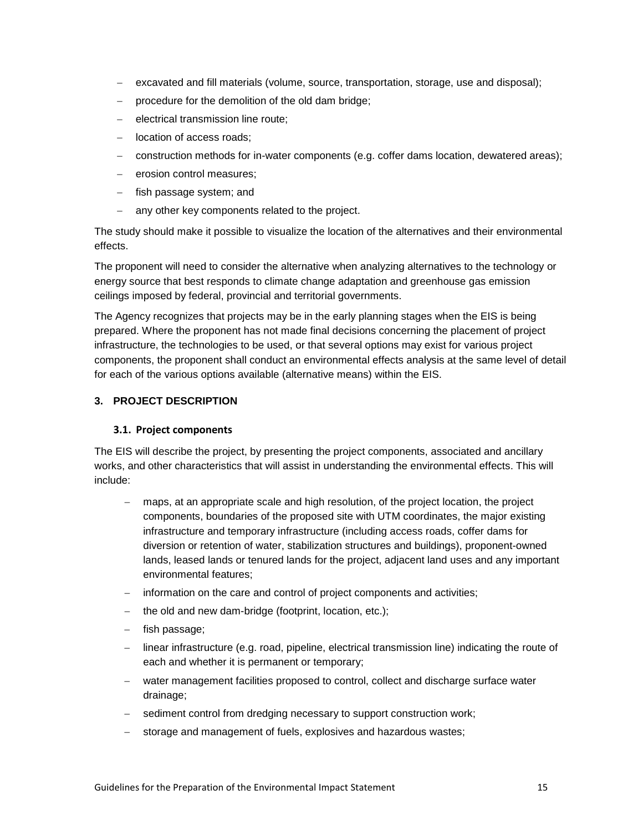- − excavated and fill materials (volume, source, transportation, storage, use and disposal);
- procedure for the demolition of the old dam bridge;
- − electrical transmission line route;
- − location of access roads;
- − construction methods for in-water components (e.g. coffer dams location, dewatered areas);
- − erosion control measures;
- − fish passage system; and
- − any other key components related to the project.

The study should make it possible to visualize the location of the alternatives and their environmental effects.

The proponent will need to consider the alternative when analyzing alternatives to the technology or energy source that best responds to climate change adaptation and greenhouse gas emission ceilings imposed by federal, provincial and territorial governments.

The Agency recognizes that projects may be in the early planning stages when the EIS is being prepared. Where the proponent has not made final decisions concerning the placement of project infrastructure, the technologies to be used, or that several options may exist for various project components, the proponent shall conduct an environmental effects analysis at the same level of detail for each of the various options available (alternative means) within the EIS.

# <span id="page-18-1"></span><span id="page-18-0"></span>**3. PROJECT DESCRIPTION**

### **3.1. Project components**

The EIS will describe the project, by presenting the project components, associated and ancillary works, and other characteristics that will assist in understanding the environmental effects. This will include:

- − maps, at an appropriate scale and high resolution, of the project location, the project components, boundaries of the proposed site with UTM coordinates, the major existing infrastructure and temporary infrastructure (including access roads, coffer dams for diversion or retention of water, stabilization structures and buildings), proponent-owned lands, leased lands or tenured lands for the project, adjacent land uses and any important environmental features;
- information on the care and control of project components and activities;
- the old and new dam-bridge (footprint, location, etc.);
- − fish passage;
- − linear infrastructure (e.g. road, pipeline, electrical transmission line) indicating the route of each and whether it is permanent or temporary;
- water management facilities proposed to control, collect and discharge surface water drainage;
- − sediment control from dredging necessary to support construction work;
- storage and management of fuels, explosives and hazardous wastes;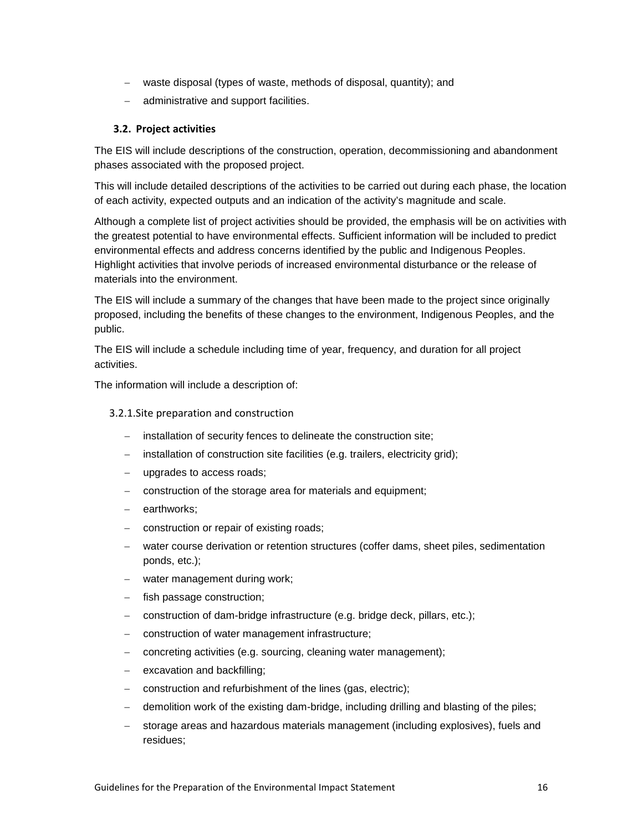- − waste disposal (types of waste, methods of disposal, quantity); and
- − administrative and support facilities.

#### <span id="page-19-0"></span>**3.2. Project activities**

The EIS will include descriptions of the construction, operation, decommissioning and abandonment phases associated with the proposed project.

This will include detailed descriptions of the activities to be carried out during each phase, the location of each activity, expected outputs and an indication of the activity's magnitude and scale.

Although a complete list of project activities should be provided, the emphasis will be on activities with the greatest potential to have environmental effects. Sufficient information will be included to predict environmental effects and address concerns identified by the public and Indigenous Peoples. Highlight activities that involve periods of increased environmental disturbance or the release of materials into the environment.

The EIS will include a summary of the changes that have been made to the project since originally proposed, including the benefits of these changes to the environment, Indigenous Peoples, and the public.

The EIS will include a schedule including time of year, frequency, and duration for all project activities.

The information will include a description of:

#### <span id="page-19-1"></span>3.2.1.Site preparation and construction

- installation of security fences to delineate the construction site;
- installation of construction site facilities (e.g. trailers, electricity grid);
- − upgrades to access roads;
- − construction of the storage area for materials and equipment;
- earthworks;
- construction or repair of existing roads;
- − water course derivation or retention structures (coffer dams, sheet piles, sedimentation ponds, etc.);
- water management during work;
- fish passage construction;
- construction of dam-bridge infrastructure (e.g. bridge deck, pillars, etc.);
- − construction of water management infrastructure;
- concreting activities (e.g. sourcing, cleaning water management);
- excavation and backfilling;
- − construction and refurbishment of the lines (gas, electric);
- − demolition work of the existing dam-bridge, including drilling and blasting of the piles;
- storage areas and hazardous materials management (including explosives), fuels and residues;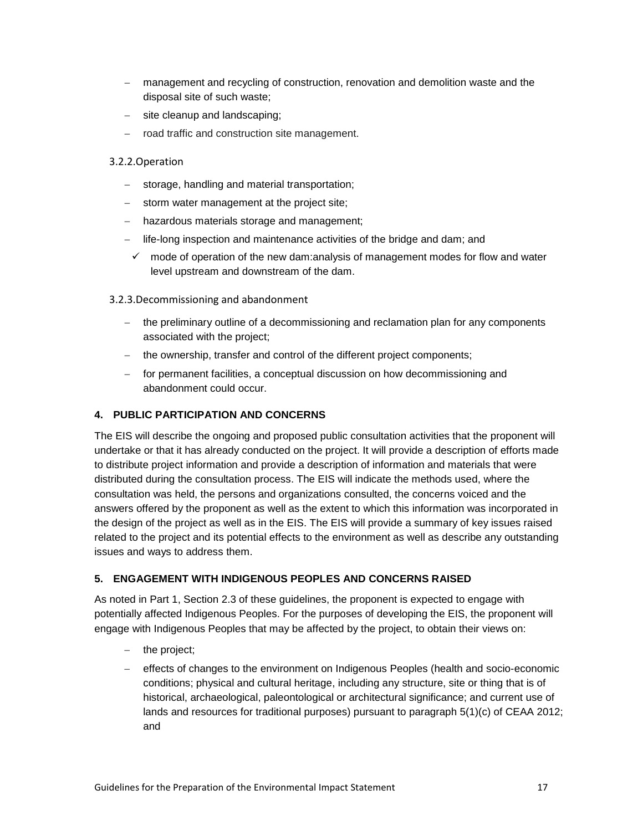- − management and recycling of construction, renovation and demolition waste and the disposal site of such waste;
- − site cleanup and landscaping;
- − road traffic and construction site management.

# <span id="page-20-0"></span>3.2.2.Operation

- storage, handling and material transportation;
- − storm water management at the project site;
- − hazardous materials storage and management;
- − life-long inspection and maintenance activities of the bridge and dam; and
- $\checkmark$  mode of operation of the new dam: analysis of management modes for flow and water level upstream and downstream of the dam.
- <span id="page-20-1"></span>3.2.3.Decommissioning and abandonment
	- − the preliminary outline of a decommissioning and reclamation plan for any components associated with the project;
	- − the ownership, transfer and control of the different project components;
	- − for permanent facilities, a conceptual discussion on how decommissioning and abandonment could occur.

# <span id="page-20-2"></span>**4. PUBLIC PARTICIPATION AND CONCERNS**

The EIS will describe the ongoing and proposed public consultation activities that the proponent will undertake or that it has already conducted on the project. It will provide a description of efforts made to distribute project information and provide a description of information and materials that were distributed during the consultation process. The EIS will indicate the methods used, where the consultation was held, the persons and organizations consulted, the concerns voiced and the answers offered by the proponent as well as the extent to which this information was incorporated in the design of the project as well as in the EIS. The EIS will provide a summary of key issues raised related to the project and its potential effects to the environment as well as describe any outstanding issues and ways to address them.

# <span id="page-20-3"></span>**5. ENGAGEMENT WITH INDIGENOUS PEOPLES AND CONCERNS RAISED**

As noted in Part 1, Section 2.3 of these guidelines, the proponent is expected to engage with potentially affected Indigenous Peoples. For the purposes of developing the EIS, the proponent will engage with Indigenous Peoples that may be affected by the project, to obtain their views on:

- − the project;
- − effects of changes to the environment on Indigenous Peoples (health and socio-economic conditions; physical and cultural heritage, including any structure, site or thing that is of historical, archaeological, paleontological or architectural significance; and current use of lands and resources for traditional purposes) pursuant to paragraph 5(1)(c) of CEAA 2012; and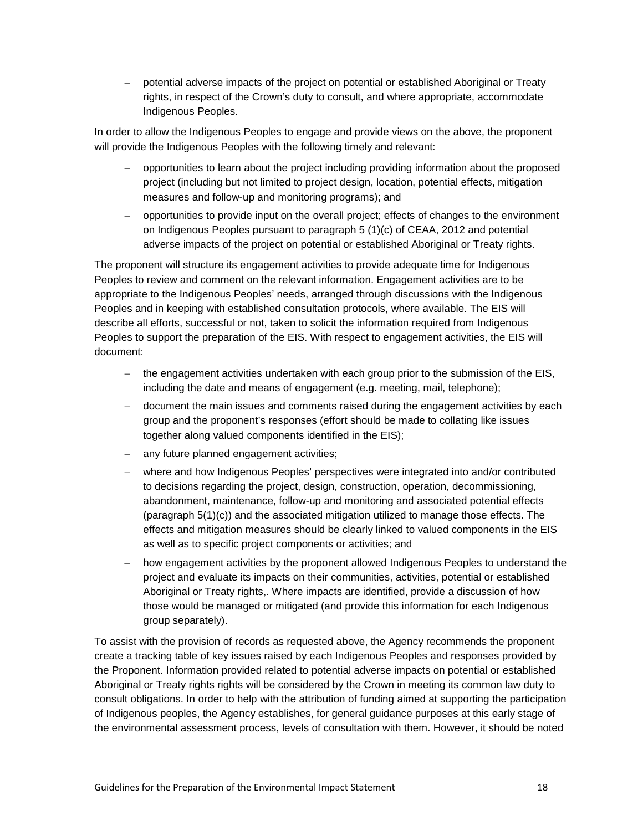− potential adverse impacts of the project on potential or established Aboriginal or Treaty rights, in respect of the Crown's duty to consult, and where appropriate, accommodate Indigenous Peoples.

In order to allow the Indigenous Peoples to engage and provide views on the above, the proponent will provide the Indigenous Peoples with the following timely and relevant:

- − opportunities to learn about the project including providing information about the proposed project (including but not limited to project design, location, potential effects, mitigation measures and follow-up and monitoring programs); and
- − opportunities to provide input on the overall project; effects of changes to the environment on Indigenous Peoples pursuant to paragraph 5 (1)(c) of CEAA, 2012 and potential adverse impacts of the project on potential or established Aboriginal or Treaty rights.

The proponent will structure its engagement activities to provide adequate time for Indigenous Peoples to review and comment on the relevant information. Engagement activities are to be appropriate to the Indigenous Peoples' needs, arranged through discussions with the Indigenous Peoples and in keeping with established consultation protocols, where available. The EIS will describe all efforts, successful or not, taken to solicit the information required from Indigenous Peoples to support the preparation of the EIS. With respect to engagement activities, the EIS will document:

- − the engagement activities undertaken with each group prior to the submission of the EIS, including the date and means of engagement (e.g. meeting, mail, telephone);
- − document the main issues and comments raised during the engagement activities by each group and the proponent's responses (effort should be made to collating like issues together along valued components identified in the EIS);
- − any future planned engagement activities;
- − where and how Indigenous Peoples' perspectives were integrated into and/or contributed to decisions regarding the project, design, construction, operation, decommissioning, abandonment, maintenance, follow-up and monitoring and associated potential effects (paragraph 5(1)(c)) and the associated mitigation utilized to manage those effects. The effects and mitigation measures should be clearly linked to valued components in the EIS as well as to specific project components or activities; and
- − how engagement activities by the proponent allowed Indigenous Peoples to understand the project and evaluate its impacts on their communities, activities, potential or established Aboriginal or Treaty rights,. Where impacts are identified, provide a discussion of how those would be managed or mitigated (and provide this information for each Indigenous group separately).

To assist with the provision of records as requested above, the Agency recommends the proponent create a tracking table of key issues raised by each Indigenous Peoples and responses provided by the Proponent. Information provided related to potential adverse impacts on potential or established Aboriginal or Treaty rights rights will be considered by the Crown in meeting its common law duty to consult obligations. In order to help with the attribution of funding aimed at supporting the participation of Indigenous peoples, the Agency establishes, for general guidance purposes at this early stage of the environmental assessment process, levels of consultation with them. However, it should be noted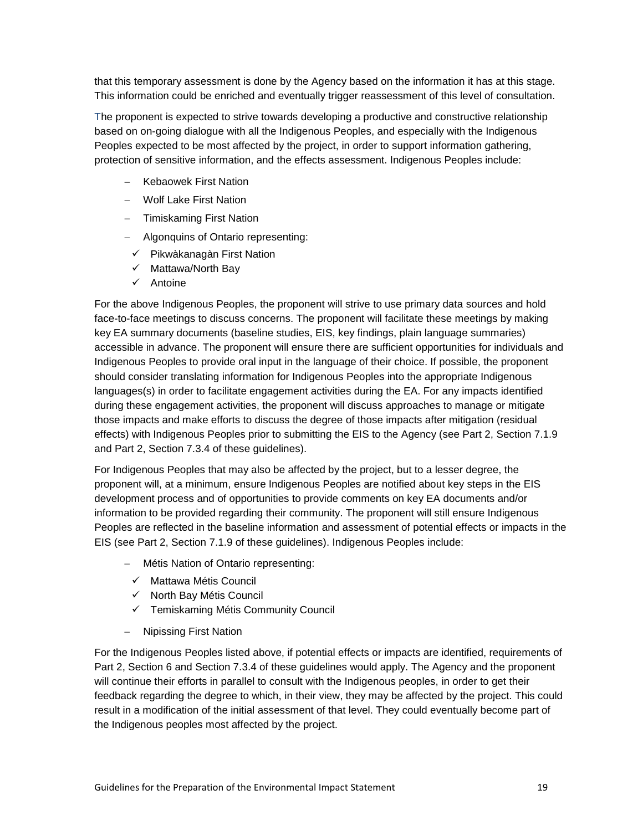that this temporary assessment is done by the Agency based on the information it has at this stage. This information could be enriched and eventually trigger reassessment of this level of consultation.

The proponent is expected to strive towards developing a productive and constructive relationship based on on-going dialogue with all the Indigenous Peoples, and especially with the Indigenous Peoples expected to be most affected by the project, in order to support information gathering, protection of sensitive information, and the effects assessment. Indigenous Peoples include:

- − Kebaowek First Nation
- − Wolf Lake First Nation
- − Timiskaming First Nation
- − Algonquins of Ontario representing:
	- $\checkmark$  Pikwàkanagàn First Nation
	- $\checkmark$  Mattawa/North Bay
	- $\checkmark$  Antoine

For the above Indigenous Peoples, the proponent will strive to use primary data sources and hold face-to-face meetings to discuss concerns. The proponent will facilitate these meetings by making key EA summary documents (baseline studies, EIS, key findings, plain language summaries) accessible in advance. The proponent will ensure there are sufficient opportunities for individuals and Indigenous Peoples to provide oral input in the language of their choice. If possible, the proponent should consider translating information for Indigenous Peoples into the appropriate Indigenous languages(s) in order to facilitate engagement activities during the EA. For any impacts identified during these engagement activities, the proponent will discuss approaches to manage or mitigate those impacts and make efforts to discuss the degree of those impacts after mitigation (residual effects) with Indigenous Peoples prior to submitting the EIS to the Agency (see Part 2, Section 7.1.9 and Part 2, Section 7.3.4 of these guidelines).

For Indigenous Peoples that may also be affected by the project, but to a lesser degree, the proponent will, at a minimum, ensure Indigenous Peoples are notified about key steps in the EIS development process and of opportunities to provide comments on key EA documents and/or information to be provided regarding their community. The proponent will still ensure Indigenous Peoples are reflected in the baseline information and assessment of potential effects or impacts in the EIS (see Part 2, Section 7.1.9 of these guidelines). Indigenous Peoples include:

- − Métis Nation of Ontario representing:
	- $\checkmark$  Mattawa Métis Council
	- $\checkmark$  North Bay Métis Council
	- $\checkmark$  Temiskaming Métis Community Council
- − Nipissing First Nation

For the Indigenous Peoples listed above, if potential effects or impacts are identified, requirements of Part 2, Section 6 and Section 7.3.4 of these guidelines would apply. The Agency and the proponent will continue their efforts in parallel to consult with the Indigenous peoples, in order to get their feedback regarding the degree to which, in their view, they may be affected by the project. This could result in a modification of the initial assessment of that level. They could eventually become part of the Indigenous peoples most affected by the project.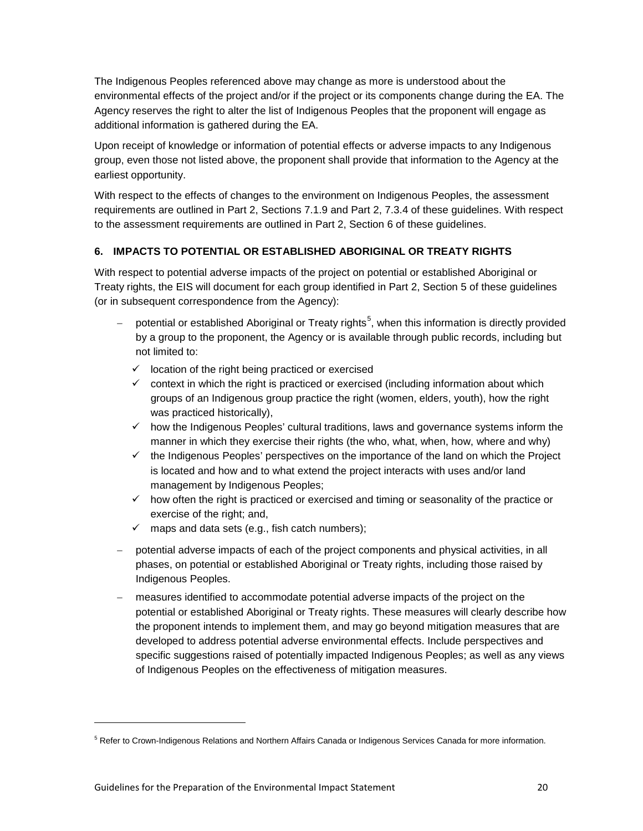The Indigenous Peoples referenced above may change as more is understood about the environmental effects of the project and/or if the project or its components change during the EA. The Agency reserves the right to alter the list of Indigenous Peoples that the proponent will engage as additional information is gathered during the EA.

Upon receipt of knowledge or information of potential effects or adverse impacts to any Indigenous group, even those not listed above, the proponent shall provide that information to the Agency at the earliest opportunity.

With respect to the effects of changes to the environment on Indigenous Peoples, the assessment requirements are outlined in Part 2, Sections 7.1.9 and Part 2, 7.3.4 of these guidelines. With respect to the assessment requirements are outlined in Part 2, Section 6 of these guidelines.

# <span id="page-23-0"></span>**6. IMPACTS TO POTENTIAL OR ESTABLISHED ABORIGINAL OR TREATY RIGHTS**

With respect to potential adverse impacts of the project on potential or established Aboriginal or Treaty rights, the EIS will document for each group identified in Part 2, Section 5 of these guidelines (or in subsequent correspondence from the Agency):

- − potential or established Aboriginal or Treaty rights<sup>[5](#page-23-1)</sup>, when this information is directly provided by a group to the proponent, the Agency or is available through public records, including but not limited to:
	- $\checkmark$  location of the right being practiced or exercised
	- $\checkmark$  context in which the right is practiced or exercised (including information about which groups of an Indigenous group practice the right (women, elders, youth), how the right was practiced historically),
	- $\checkmark$  how the Indigenous Peoples' cultural traditions, laws and governance systems inform the manner in which they exercise their rights (the who, what, when, how, where and why)
	- $\checkmark$  the Indigenous Peoples' perspectives on the importance of the land on which the Project is located and how and to what extend the project interacts with uses and/or land management by Indigenous Peoples;
	- $\checkmark$  how often the right is practiced or exercised and timing or seasonality of the practice or exercise of the right; and,
	- $\checkmark$  maps and data sets (e.g., fish catch numbers);
- − potential adverse impacts of each of the project components and physical activities, in all phases, on potential or established Aboriginal or Treaty rights, including those raised by Indigenous Peoples.
- measures identified to accommodate potential adverse impacts of the project on the potential or established Aboriginal or Treaty rights. These measures will clearly describe how the proponent intends to implement them, and may go beyond mitigation measures that are developed to address potential adverse environmental effects. Include perspectives and specific suggestions raised of potentially impacted Indigenous Peoples; as well as any views of Indigenous Peoples on the effectiveness of mitigation measures.

<span id="page-23-1"></span><sup>&</sup>lt;sup>5</sup> Refer to Crown-Indigenous Relations and Northern Affairs Canada or Indigenous Services Canada for more information.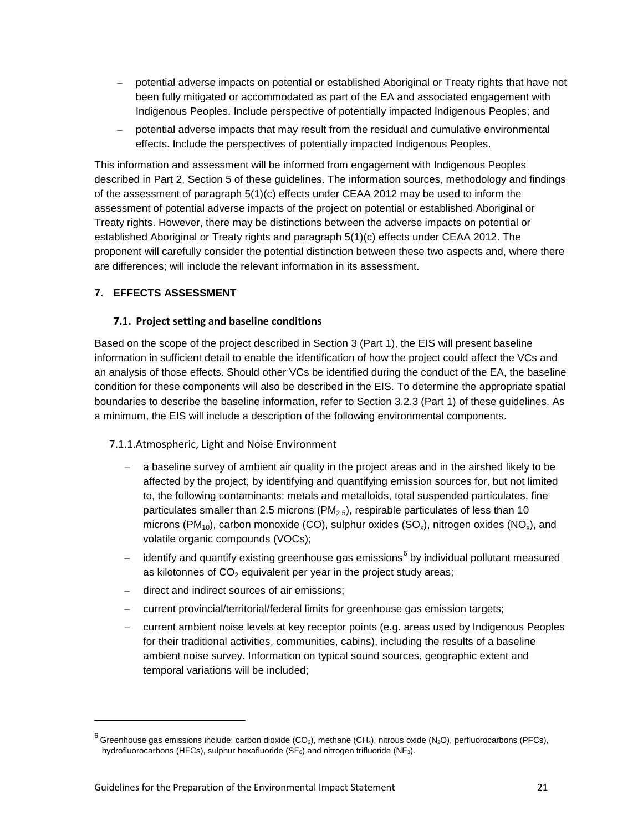- − potential adverse impacts on potential or established Aboriginal or Treaty rights that have not been fully mitigated or accommodated as part of the EA and associated engagement with Indigenous Peoples. Include perspective of potentially impacted Indigenous Peoples; and
- − potential adverse impacts that may result from the residual and cumulative environmental effects. Include the perspectives of potentially impacted Indigenous Peoples.

This information and assessment will be informed from engagement with Indigenous Peoples described in Part 2, Section 5 of these guidelines. The information sources, methodology and findings of the assessment of paragraph 5(1)(c) effects under CEAA 2012 may be used to inform the assessment of potential adverse impacts of the project on potential or established Aboriginal or Treaty rights. However, there may be distinctions between the adverse impacts on potential or established Aboriginal or Treaty rights and paragraph 5(1)(c) effects under CEAA 2012. The proponent will carefully consider the potential distinction between these two aspects and, where there are differences; will include the relevant information in its assessment.

### <span id="page-24-1"></span><span id="page-24-0"></span>**7. EFFECTS ASSESSMENT**

-

### **7.1. Project setting and baseline conditions**

Based on the scope of the project described in Section 3 (Part 1), the EIS will present baseline information in sufficient detail to enable the identification of how the project could affect the VCs and an analysis of those effects. Should other VCs be identified during the conduct of the EA, the baseline condition for these components will also be described in the EIS. To determine the appropriate spatial boundaries to describe the baseline information, refer to Section 3.2.3 (Part 1) of these guidelines. As a minimum, the EIS will include a description of the following environmental components.

### <span id="page-24-2"></span>7.1.1.Atmospheric, Light and Noise Environment

- − a baseline survey of ambient air quality in the project areas and in the airshed likely to be affected by the project, by identifying and quantifying emission sources for, but not limited to, the following contaminants: metals and metalloids, total suspended particulates, fine particulates smaller than 2.5 microns (PM $_{2.5}$ ), respirable particulates of less than 10 microns (PM<sub>10</sub>), carbon monoxide (CO), sulphur oxides (SO<sub>x</sub>), nitrogen oxides (NO<sub>x</sub>), and volatile organic compounds (VOCs);
- identify and quantify existing greenhouse gas emissions<sup>[6](#page-24-3)</sup> by individual pollutant measured as kilotonnes of  $CO<sub>2</sub>$  equivalent per year in the project study areas;
- − direct and indirect sources of air emissions;
- − current provincial/territorial/federal limits for greenhouse gas emission targets;
- − current ambient noise levels at key receptor points (e.g. areas used by Indigenous Peoples for their traditional activities, communities, cabins), including the results of a baseline ambient noise survey. Information on typical sound sources, geographic extent and temporal variations will be included;

<span id="page-24-3"></span> $6$  Greenhouse gas emissions include: carbon dioxide (CO<sub>2</sub>), methane (CH<sub>4</sub>), nitrous oxide (N<sub>2</sub>O), perfluorocarbons (PFCs), hydrofluorocarbons (HFCs), sulphur hexafluoride ( $SF<sub>6</sub>$ ) and nitrogen trifluoride (NF<sub>3</sub>).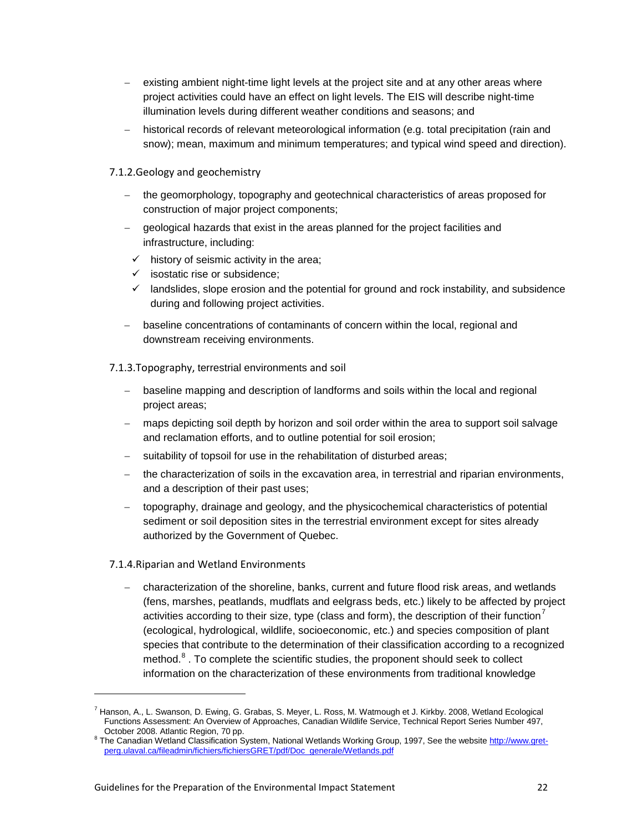- existing ambient night-time light levels at the project site and at any other areas where project activities could have an effect on light levels. The EIS will describe night-time illumination levels during different weather conditions and seasons; and
- − historical records of relevant meteorological information (e.g. total precipitation (rain and snow); mean, maximum and minimum temperatures; and typical wind speed and direction).
- <span id="page-25-0"></span>7.1.2.Geology and geochemistry
	- the geomorphology, topography and geotechnical characteristics of areas proposed for construction of major project components;
	- − geological hazards that exist in the areas planned for the project facilities and infrastructure, including:
		- $\checkmark$  history of seismic activity in the area;
		- $\checkmark$  isostatic rise or subsidence:
		- $\checkmark$  landslides, slope erosion and the potential for ground and rock instability, and subsidence during and following project activities.
	- − baseline concentrations of contaminants of concern within the local, regional and downstream receiving environments.

<span id="page-25-1"></span>7.1.3.Topography, terrestrial environments and soil

- − baseline mapping and description of landforms and soils within the local and regional project areas;
- − maps depicting soil depth by horizon and soil order within the area to support soil salvage and reclamation efforts, and to outline potential for soil erosion;
- − suitability of topsoil for use in the rehabilitation of disturbed areas;
- the characterization of soils in the excavation area, in terrestrial and riparian environments, and a description of their past uses;
- − topography, drainage and geology, and the physicochemical characteristics of potential sediment or soil deposition sites in the terrestrial environment except for sites already authorized by the Government of Quebec.

### <span id="page-25-2"></span>7.1.4.Riparian and Wetland Environments

-

− characterization of the shoreline, banks, current and future flood risk areas, and wetlands (fens, marshes, peatlands, mudflats and eelgrass beds, etc.) likely to be affected by project activities according to their size, type (class and form), the description of their function<sup>[7](#page-25-3)</sup> (ecological, hydrological, wildlife, socioeconomic, etc.) and species composition of plant species that contribute to the determination of their classification according to a recognized method.<sup>[8](#page-25-4)</sup>. To complete the scientific studies, the proponent should seek to collect information on the characterization of these environments from traditional knowledge

<span id="page-25-3"></span><sup>7</sup> Hanson, A., L. Swanson, D. Ewing, G. Grabas, S. Meyer, L. Ross, M. Watmough et J. Kirkby. 2008, Wetland Ecological Functions Assessment: An Overview of Approaches, Canadian Wildlife Service, Technical Report Series Number 497, October 2008. Atlantic Region, 70 pp.

<span id="page-25-4"></span><sup>&</sup>lt;sup>8</sup> The Canadian Wetland Classification System, National Wetlands Working Group, 1997, See the websit[e http://www.gret](http://www.gret-perg.ulaval.ca/fileadmin/fichiers/fichiersGRET/pdf/Doc_generale/Wetlands.pdf)[perg.ulaval.ca/fileadmin/fichiers/fichiersGRET/pdf/Doc\\_generale/Wetlands.pdf](http://www.gret-perg.ulaval.ca/fileadmin/fichiers/fichiersGRET/pdf/Doc_generale/Wetlands.pdf)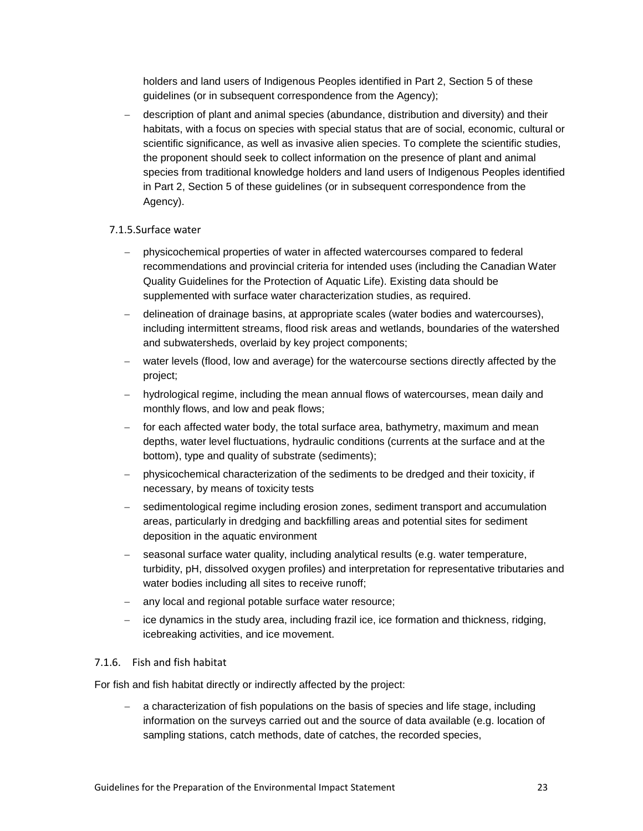holders and land users of Indigenous Peoples identified in Part 2, Section 5 of these guidelines (or in subsequent correspondence from the Agency);

− description of plant and animal species (abundance, distribution and diversity) and their habitats, with a focus on species with special status that are of social, economic, cultural or scientific significance, as well as invasive alien species. To complete the scientific studies, the proponent should seek to collect information on the presence of plant and animal species from traditional knowledge holders and land users of Indigenous Peoples identified in Part 2, Section 5 of these guidelines (or in subsequent correspondence from the Agency).

#### <span id="page-26-0"></span>7.1.5.Surface water

- − physicochemical properties of water in affected watercourses compared to federal recommendations and provincial criteria for intended uses (including the Canadian Water Quality Guidelines for the Protection of Aquatic Life). Existing data should be supplemented with surface water characterization studies, as required.
- − delineation of drainage basins, at appropriate scales (water bodies and watercourses), including intermittent streams, flood risk areas and wetlands, boundaries of the watershed and subwatersheds, overlaid by key project components;
- water levels (flood, low and average) for the watercourse sections directly affected by the project;
- − hydrological regime, including the mean annual flows of watercourses, mean daily and monthly flows, and low and peak flows;
- − for each affected water body, the total surface area, bathymetry, maximum and mean depths, water level fluctuations, hydraulic conditions (currents at the surface and at the bottom), type and quality of substrate (sediments);
- − physicochemical characterization of the sediments to be dredged and their toxicity, if necessary, by means of toxicity tests
- − sedimentological regime including erosion zones, sediment transport and accumulation areas, particularly in dredging and backfilling areas and potential sites for sediment deposition in the aquatic environment
- seasonal surface water quality, including analytical results (e.g. water temperature, turbidity, pH, dissolved oxygen profiles) and interpretation for representative tributaries and water bodies including all sites to receive runoff;
- − any local and regional potable surface water resource;
- − ice dynamics in the study area, including frazil ice, ice formation and thickness, ridging, icebreaking activities, and ice movement.

#### <span id="page-26-1"></span>7.1.6. Fish and fish habitat

For fish and fish habitat directly or indirectly affected by the project:

− a characterization of fish populations on the basis of species and life stage, including information on the surveys carried out and the source of data available (e.g. location of sampling stations, catch methods, date of catches, the recorded species,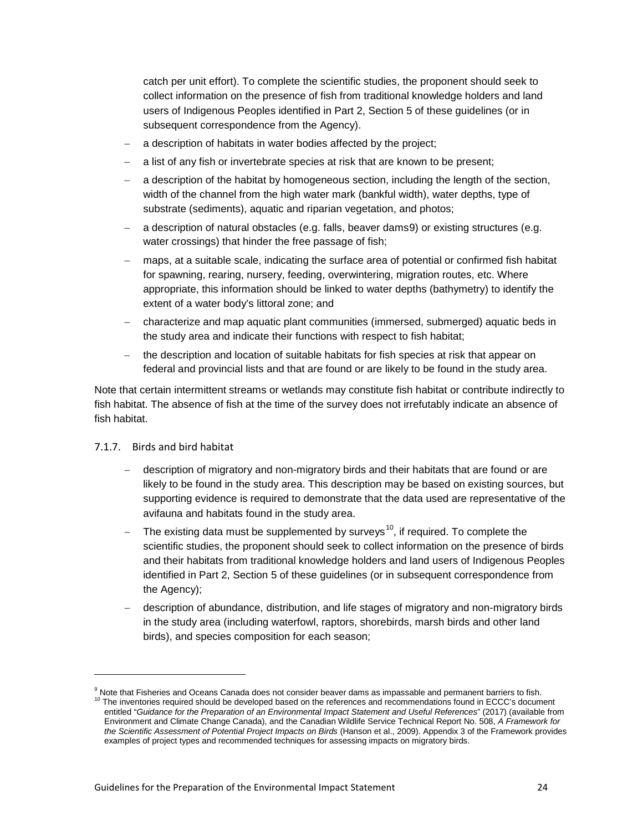catch per unit effort). To complete the scientific studies, the proponent should seek to collect information on the presence of fish from traditional knowledge holders and land users of Indigenous Peoples identified in Part 2, Section 5 of these guidelines (or in subsequent correspondence from the Agency).

- a description of habitats in water bodies affected by the project;
- a list of any fish or invertebrate species at risk that are known to be present;
- a description of the habitat by homogeneous section, including the length of the section, width of the channel from the high water mark (bankful width), water depths, type of substrate (sediments), aquatic and riparian vegetation, and photos;
- a description of natural obstacles (e.g. falls, beaver dams[9](#page-27-1)) or existing structures (e.g. water crossings) that hinder the free passage of fish;
- maps, at a suitable scale, indicating the surface area of potential or confirmed fish habitat for spawning, rearing, nursery, feeding, overwintering, migration routes, etc. Where appropriate, this information should be linked to water depths (bathymetry) to identify the extent of a water body's littoral zone; and
- − characterize and map aquatic plant communities (immersed, submerged) aquatic beds in the study area and indicate their functions with respect to fish habitat;
- the description and location of suitable habitats for fish species at risk that appear on federal and provincial lists and that are found or are likely to be found in the study area.

Note that certain intermittent streams or wetlands may constitute fish habitat or contribute indirectly to fish habitat. The absence of fish at the time of the survey does not irrefutably indicate an absence of fish habitat.

<span id="page-27-0"></span>7.1.7. Birds and bird habitat

- − description of migratory and non-migratory birds and their habitats that are found or are likely to be found in the study area. This description may be based on existing sources, but supporting evidence is required to demonstrate that the data used are representative of the avifauna and habitats found in the study area.
- The existing data must be supplemented by surveys<sup>10</sup>, if required. To complete the scientific studies, the proponent should seek to collect information on the presence of birds and their habitats from traditional knowledge holders and land users of Indigenous Peoples identified in Part 2, Section 5 of these guidelines (or in subsequent correspondence from the Agency);
- − description of abundance, distribution, and life stages of migratory and non-migratory birds in the study area (including waterfowl, raptors, shorebirds, marsh birds and other land birds), and species composition for each season;

<span id="page-27-2"></span><span id="page-27-1"></span><sup>&</sup>lt;sup>9</sup> Note that Fisheries and Oceans Canada does not consider beaver dams as impassable and permanent barriers to fish.<br><sup>10</sup> The inventories required should be developed based on the references and recommendations found in E entitled "*Guidance for the Preparation of an Environmental Impact Statement and Useful References*" (2017) (available from Environment and Climate Change Canada), and the Canadian Wildlife Service Technical Report No. 508, *A Framework for the Scientific Assessment of Potential Project Impacts on Birds* (Hanson et al., 2009). Appendix 3 of the Framework provides examples of project types and recommended techniques for assessing impacts on migratory birds.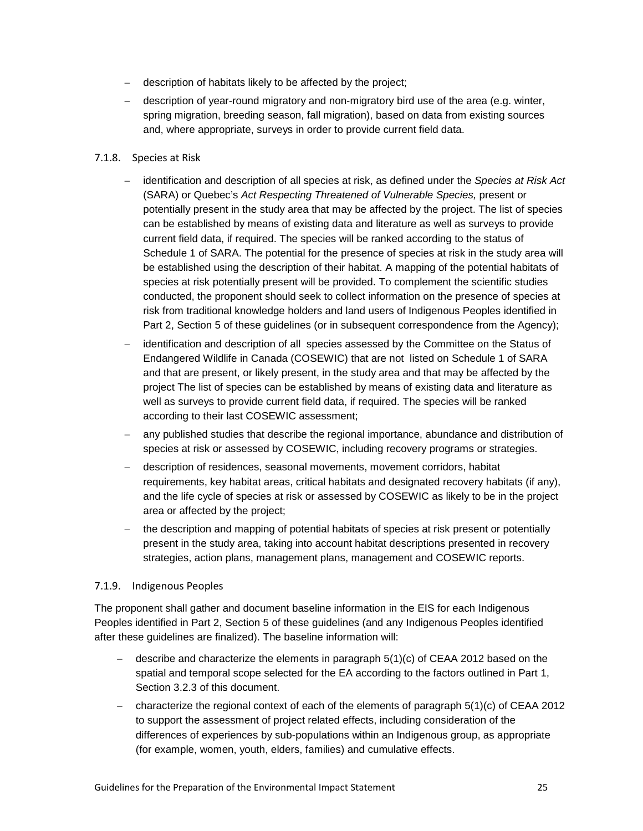- − description of habitats likely to be affected by the project;
- − description of year-round migratory and non-migratory bird use of the area (e.g. winter, spring migration, breeding season, fall migration), based on data from existing sources and, where appropriate, surveys in order to provide current field data.

#### <span id="page-28-0"></span>7.1.8. Species at Risk

- − identification and description of all species at risk, as defined under the *Species at Risk Act* (SARA) or Quebec's *Act Respecting Threatened of Vulnerable Species,* present or potentially present in the study area that may be affected by the project. The list of species can be established by means of existing data and literature as well as surveys to provide current field data, if required. The species will be ranked according to the status of Schedule 1 of SARA. The potential for the presence of species at risk in the study area will be established using the description of their habitat. A mapping of the potential habitats of species at risk potentially present will be provided. To complement the scientific studies conducted, the proponent should seek to collect information on the presence of species at risk from traditional knowledge holders and land users of Indigenous Peoples identified in Part 2, Section 5 of these guidelines (or in subsequent correspondence from the Agency);
- identification and description of all species assessed by the Committee on the Status of Endangered Wildlife in Canada (COSEWIC) that are not listed on Schedule 1 of SARA and that are present, or likely present, in the study area and that may be affected by the project The list of species can be established by means of existing data and literature as well as surveys to provide current field data, if required. The species will be ranked according to their last COSEWIC assessment;
- any published studies that describe the regional importance, abundance and distribution of species at risk or assessed by COSEWIC, including recovery programs or strategies.
- − description of residences, seasonal movements, movement corridors, habitat requirements, key habitat areas, critical habitats and designated recovery habitats (if any), and the life cycle of species at risk or assessed by COSEWIC as likely to be in the project area or affected by the project;
- − the description and mapping of potential habitats of species at risk present or potentially present in the study area, taking into account habitat descriptions presented in recovery strategies, action plans, management plans, management and COSEWIC reports.

### <span id="page-28-1"></span>7.1.9. Indigenous Peoples

The proponent shall gather and document baseline information in the EIS for each Indigenous Peoples identified in Part 2, Section 5 of these guidelines (and any Indigenous Peoples identified after these guidelines are finalized). The baseline information will:

- − describe and characterize the elements in paragraph 5(1)(c) of CEAA 2012 based on the spatial and temporal scope selected for the EA according to the factors outlined in Part 1, Section 3.2.3 of this document.
- − characterize the regional context of each of the elements of paragraph 5(1)(c) of CEAA 2012 to support the assessment of project related effects, including consideration of the differences of experiences by sub-populations within an Indigenous group, as appropriate (for example, women, youth, elders, families) and cumulative effects.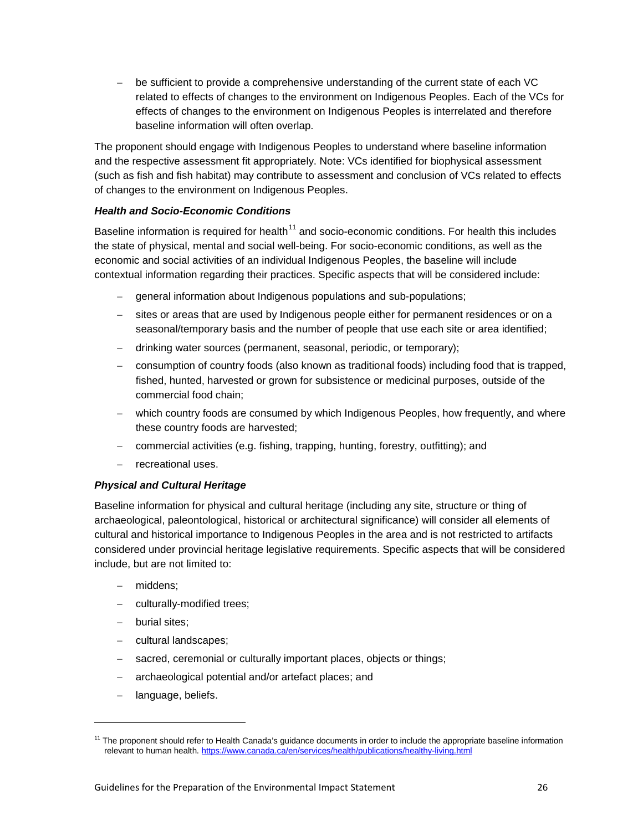− be sufficient to provide a comprehensive understanding of the current state of each VC related to effects of changes to the environment on Indigenous Peoples. Each of the VCs for effects of changes to the environment on Indigenous Peoples is interrelated and therefore baseline information will often overlap.

The proponent should engage with Indigenous Peoples to understand where baseline information and the respective assessment fit appropriately. Note: VCs identified for biophysical assessment (such as fish and fish habitat) may contribute to assessment and conclusion of VCs related to effects of changes to the environment on Indigenous Peoples.

## *Health and Socio-Economic Conditions*

Baseline information is required for health<sup>[11](#page-29-0)</sup> and socio-economic conditions. For health this includes the state of physical, mental and social well-being. For socio-economic conditions, as well as the economic and social activities of an individual Indigenous Peoples, the baseline will include contextual information regarding their practices. Specific aspects that will be considered include:

- − general information about Indigenous populations and sub-populations;
- − sites or areas that are used by Indigenous people either for permanent residences or on a seasonal/temporary basis and the number of people that use each site or area identified;
- − drinking water sources (permanent, seasonal, periodic, or temporary);
- − consumption of country foods (also known as traditional foods) including food that is trapped, fished, hunted, harvested or grown for subsistence or medicinal purposes, outside of the commercial food chain;
- − which country foods are consumed by which Indigenous Peoples, how frequently, and where these country foods are harvested;
- − commercial activities (e.g. fishing, trapping, hunting, forestry, outfitting); and
- − recreational uses.

# *Physical and Cultural Heritage*

Baseline information for physical and cultural heritage (including any site, structure or thing of archaeological, paleontological, historical or architectural significance) will consider all elements of cultural and historical importance to Indigenous Peoples in the area and is not restricted to artifacts considered under provincial heritage legislative requirements. Specific aspects that will be considered include, but are not limited to:

- − middens;
- culturally-modified trees;
- − burial sites;

- − cultural landscapes;
- − sacred, ceremonial or culturally important places, objects or things;
- − archaeological potential and/or artefact places; and
- language, beliefs.

<span id="page-29-0"></span><sup>&</sup>lt;sup>11</sup> The proponent should refer to Health Canada's guidance documents in order to include the appropriate baseline information relevant to human health.<https://www.canada.ca/en/services/health/publications/healthy-living.html>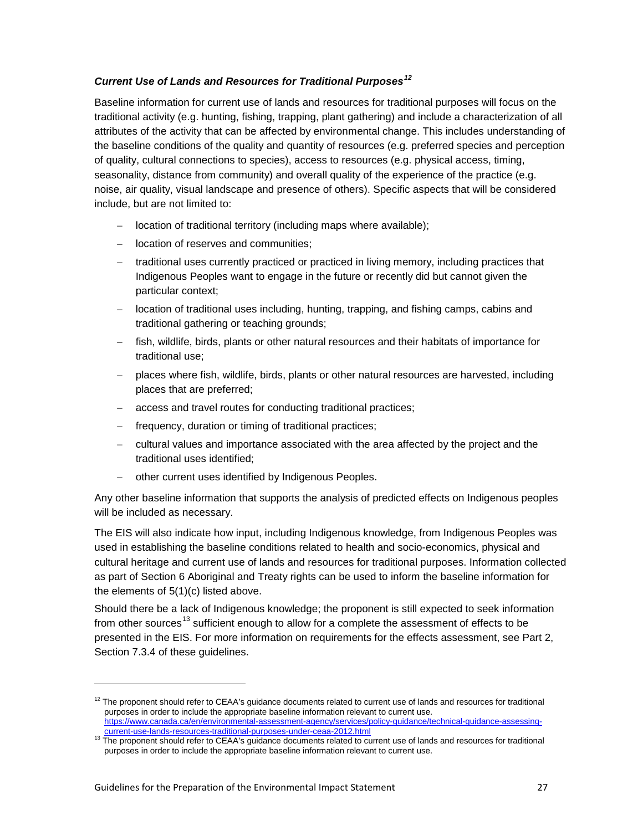# *Current Use of Lands and Resources for Traditional Purposes[12](#page-30-0)*

Baseline information for current use of lands and resources for traditional purposes will focus on the traditional activity (e.g. hunting, fishing, trapping, plant gathering) and include a characterization of all attributes of the activity that can be affected by environmental change. This includes understanding of the baseline conditions of the quality and quantity of resources (e.g. preferred species and perception of quality, cultural connections to species), access to resources (e.g. physical access, timing, seasonality, distance from community) and overall quality of the experience of the practice (e.g. noise, air quality, visual landscape and presence of others). Specific aspects that will be considered include, but are not limited to:

- − location of traditional territory (including maps where available);
- − location of reserves and communities;
- − traditional uses currently practiced or practiced in living memory, including practices that Indigenous Peoples want to engage in the future or recently did but cannot given the particular context;
- − location of traditional uses including, hunting, trapping, and fishing camps, cabins and traditional gathering or teaching grounds;
- fish, wildlife, birds, plants or other natural resources and their habitats of importance for traditional use;
- − places where fish, wildlife, birds, plants or other natural resources are harvested, including places that are preferred;
- access and travel routes for conducting traditional practices;
- frequency, duration or timing of traditional practices;
- − cultural values and importance associated with the area affected by the project and the traditional uses identified;
- − other current uses identified by Indigenous Peoples.

Any other baseline information that supports the analysis of predicted effects on Indigenous peoples will be included as necessary.

The EIS will also indicate how input, including Indigenous knowledge, from Indigenous Peoples was used in establishing the baseline conditions related to health and socio-economics, physical and cultural heritage and current use of lands and resources for traditional purposes. Information collected as part of Section 6 Aboriginal and Treaty rights can be used to inform the baseline information for the elements of 5(1)(c) listed above.

Should there be a lack of Indigenous knowledge; the proponent is still expected to seek information from other sources<sup>[13](#page-30-1)</sup> sufficient enough to allow for a complete the assessment of effects to be presented in the EIS. For more information on requirements for the effects assessment, see Part 2, Section 7.3.4 of these guidelines.

<span id="page-30-0"></span> $12$  The proponent should refer to CEAA's guidance documents related to current use of lands and resources for traditional purposes in order to include the appropriate baseline information relevant to current use. [https://www.canada.ca/en/environmental-assessment-agency/services/policy-guidance/technical-guidance-assessing-](https://www.canada.ca/en/environmental-assessment-agency/services/policy-guidance/technical-guidance-assessing-current-use-lands-resources-traditional-purposes-under-ceaa-2012.html)

<span id="page-30-1"></span><sup>&</sup>lt;sup>13</sup> The proponent should refer to CEAA's guidance documents related to current use of lands and resources for traditional purposes in order to include the appropriate baseline information relevant to current use.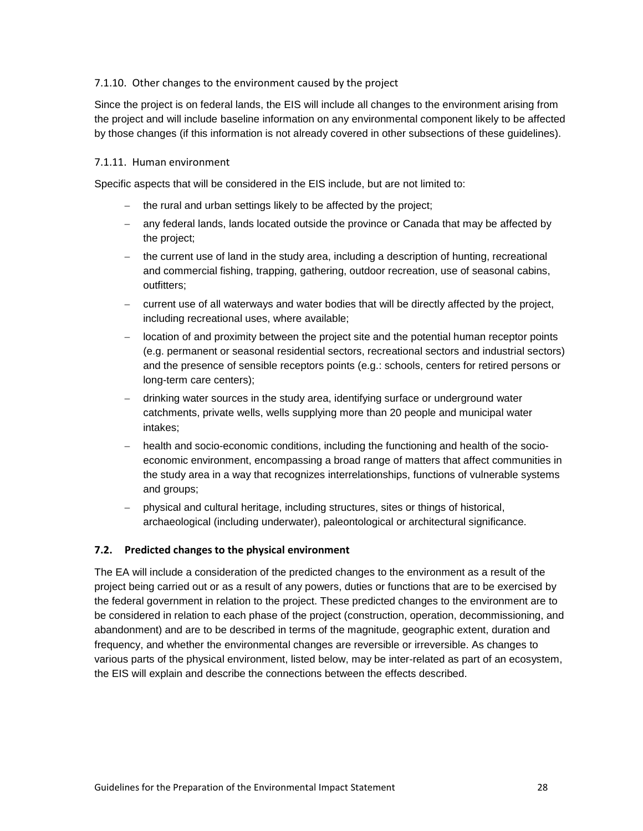#### <span id="page-31-0"></span>7.1.10. Other changes to the environment caused by the project

Since the project is on federal lands, the EIS will include all changes to the environment arising from the project and will include baseline information on any environmental component likely to be affected by those changes (if this information is not already covered in other subsections of these guidelines).

#### <span id="page-31-1"></span>7.1.11. Human environment

Specific aspects that will be considered in the EIS include, but are not limited to:

- − the rural and urban settings likely to be affected by the project;
- − any federal lands, lands located outside the province or Canada that may be affected by the project;
- − the current use of land in the study area, including a description of hunting, recreational and commercial fishing, trapping, gathering, outdoor recreation, use of seasonal cabins, outfitters;
- − current use of all waterways and water bodies that will be directly affected by the project, including recreational uses, where available;
- − location of and proximity between the project site and the potential human receptor points (e.g. permanent or seasonal residential sectors, recreational sectors and industrial sectors) and the presence of sensible receptors points (e.g.: schools, centers for retired persons or long-term care centers);
- − drinking water sources in the study area, identifying surface or underground water catchments, private wells, wells supplying more than 20 people and municipal water intakes;
- − health and socio-economic conditions, including the functioning and health of the socioeconomic environment, encompassing a broad range of matters that affect communities in the study area in a way that recognizes interrelationships, functions of vulnerable systems and groups;
- − physical and cultural heritage, including structures, sites or things of historical, archaeological (including underwater), paleontological or architectural significance.

### <span id="page-31-2"></span>**7.2. Predicted changes to the physical environment**

The EA will include a consideration of the predicted changes to the environment as a result of the project being carried out or as a result of any powers, duties or functions that are to be exercised by the federal government in relation to the project. These predicted changes to the environment are to be considered in relation to each phase of the project (construction, operation, decommissioning, and abandonment) and are to be described in terms of the magnitude, geographic extent, duration and frequency, and whether the environmental changes are reversible or irreversible. As changes to various parts of the physical environment, listed below, may be inter-related as part of an ecosystem, the EIS will explain and describe the connections between the effects described.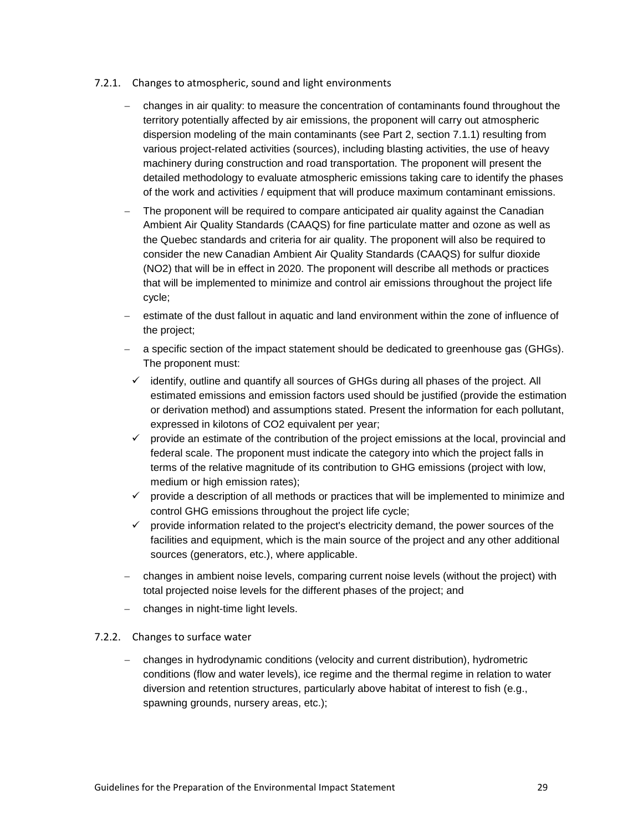- <span id="page-32-0"></span>7.2.1. Changes to atmospheric, sound and light environments
	- − changes in air quality: to measure the concentration of contaminants found throughout the territory potentially affected by air emissions, the proponent will carry out atmospheric dispersion modeling of the main contaminants (see Part 2, section 7.1.1) resulting from various project-related activities (sources), including blasting activities, the use of heavy machinery during construction and road transportation. The proponent will present the detailed methodology to evaluate atmospheric emissions taking care to identify the phases of the work and activities / equipment that will produce maximum contaminant emissions.
	- The proponent will be required to compare anticipated air quality against the Canadian Ambient Air Quality Standards (CAAQS) for fine particulate matter and ozone as well as the Quebec standards and criteria for air quality. The proponent will also be required to consider the new Canadian Ambient Air Quality Standards (CAAQS) for sulfur dioxide (NO2) that will be in effect in 2020. The proponent will describe all methods or practices that will be implemented to minimize and control air emissions throughout the project life cycle;
	- estimate of the dust fallout in aquatic and land environment within the zone of influence of the project;
	- − a specific section of the impact statement should be dedicated to greenhouse gas (GHGs). The proponent must:
	- $\checkmark$  identify, outline and quantify all sources of GHGs during all phases of the project. All estimated emissions and emission factors used should be justified (provide the estimation or derivation method) and assumptions stated. Present the information for each pollutant, expressed in kilotons of CO2 equivalent per year;
	- $\checkmark$  provide an estimate of the contribution of the project emissions at the local, provincial and federal scale. The proponent must indicate the category into which the project falls in terms of the relative magnitude of its contribution to GHG emissions (project with low, medium or high emission rates);
	- $\checkmark$  provide a description of all methods or practices that will be implemented to minimize and control GHG emissions throughout the project life cycle;
	- $\checkmark$  provide information related to the project's electricity demand, the power sources of the facilities and equipment, which is the main source of the project and any other additional sources (generators, etc.), where applicable.
	- − changes in ambient noise levels, comparing current noise levels (without the project) with total projected noise levels for the different phases of the project; and
	- − changes in night-time light levels.

### <span id="page-32-1"></span>7.2.2. Changes to surface water

− changes in hydrodynamic conditions (velocity and current distribution), hydrometric conditions (flow and water levels), ice regime and the thermal regime in relation to water diversion and retention structures, particularly above habitat of interest to fish (e.g., spawning grounds, nursery areas, etc.);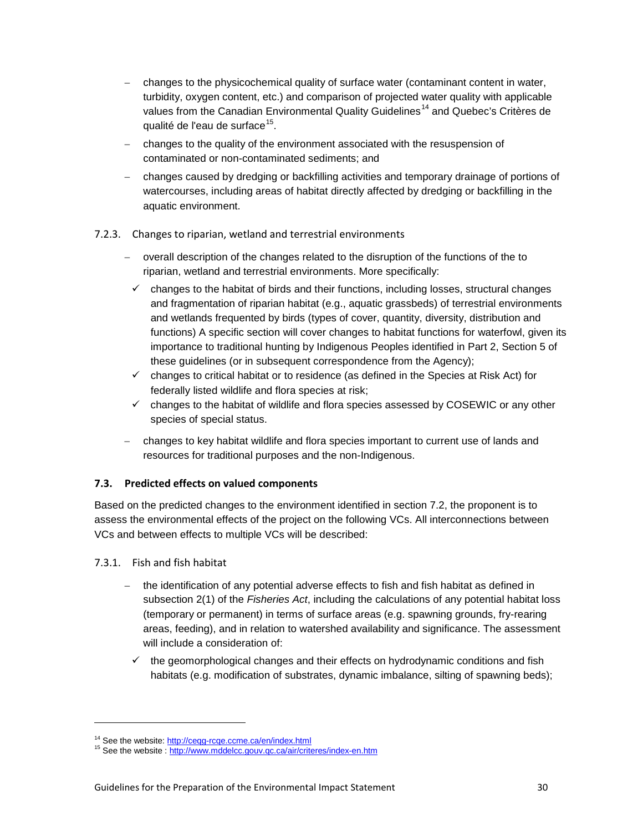- − changes to the physicochemical quality of surface water (contaminant content in water, turbidity, oxygen content, etc.) and comparison of projected water quality with applicable values from the Canadian Environmental Quality Guidelines<sup>[14](#page-33-3)</sup> and Quebec's Critères de qualité de l'eau de surface<sup>15</sup>.
- changes to the quality of the environment associated with the resuspension of contaminated or non-contaminated sediments; and
- − changes caused by dredging or backfilling activities and temporary drainage of portions of watercourses, including areas of habitat directly affected by dredging or backfilling in the aquatic environment.

# <span id="page-33-0"></span>7.2.3. Changes to riparian, wetland and terrestrial environments

- − overall description of the changes related to the disruption of the functions of the to riparian, wetland and terrestrial environments. More specifically:
	- $\checkmark$  changes to the habitat of birds and their functions, including losses, structural changes and fragmentation of riparian habitat (e.g., aquatic grassbeds) of terrestrial environments and wetlands frequented by birds (types of cover, quantity, diversity, distribution and functions) A specific section will cover changes to habitat functions for waterfowl, given its importance to traditional hunting by Indigenous Peoples identified in Part 2, Section 5 of these guidelines (or in subsequent correspondence from the Agency);
	- $\checkmark$  changes to critical habitat or to residence (as defined in the Species at Risk Act) for federally listed wildlife and flora species at risk;
	- $\checkmark$  changes to the habitat of wildlife and flora species assessed by COSEWIC or any other species of special status.
- − changes to key habitat wildlife and flora species important to current use of lands and resources for traditional purposes and the non-Indigenous.

# <span id="page-33-1"></span>**7.3. Predicted effects on valued components**

Based on the predicted changes to the environment identified in section 7.2, the proponent is to assess the environmental effects of the project on the following VCs. All interconnections between VCs and between effects to multiple VCs will be described:

<span id="page-33-2"></span>7.3.1. Fish and fish habitat

- the identification of any potential adverse effects to fish and fish habitat as defined in subsection 2(1) of the *Fisheries Act*, including the calculations of any potential habitat loss (temporary or permanent) in terms of surface areas (e.g. spawning grounds, fry-rearing areas, feeding), and in relation to watershed availability and significance. The assessment will include a consideration of:
	- $\checkmark$  the geomorphological changes and their effects on hydrodynamic conditions and fish habitats (e.g. modification of substrates, dynamic imbalance, silting of spawning beds);

<span id="page-33-4"></span><span id="page-33-3"></span><sup>&</sup>lt;sup>14</sup> See the website:<http://ceqg-rcqe.ccme.ca/en/index.html><br><sup>15</sup> See the website [: http://www.mddelcc.gouv.qc.ca/air/criteres/index-en.htm](http://www.mddelcc.gouv.qc.ca/air/criteres/index-en.htm)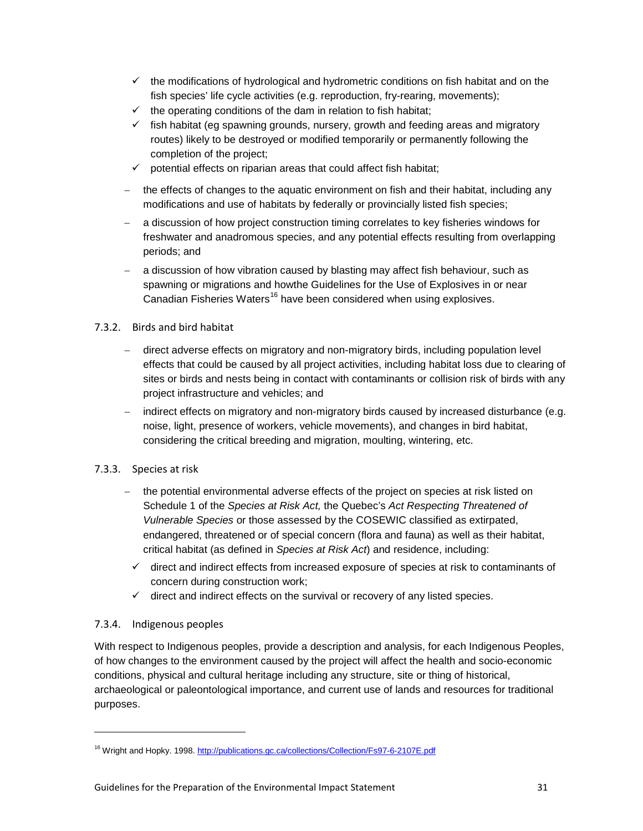- $\checkmark$  the modifications of hydrological and hydrometric conditions on fish habitat and on the fish species' life cycle activities (e.g. reproduction, fry-rearing, movements);
- $\checkmark$  the operating conditions of the dam in relation to fish habitat;
- $\checkmark$  fish habitat (eg spawning grounds, nursery, growth and feeding areas and migratory routes) likely to be destroyed or modified temporarily or permanently following the completion of the project;
- $\checkmark$  potential effects on riparian areas that could affect fish habitat;
- − the effects of changes to the aquatic environment on fish and their habitat, including any modifications and use of habitats by federally or provincially listed fish species;
- − a discussion of how project construction timing correlates to key fisheries windows for freshwater and anadromous species, and any potential effects resulting from overlapping periods; and
- a discussion of how vibration caused by blasting may affect fish behaviour, such as spawning or migrations and howthe Guidelines for the Use of Explosives in or near Canadian Fisheries Waters<sup>[16](#page-34-3)</sup> have been considered when using explosives.

# <span id="page-34-0"></span>7.3.2. Birds and bird habitat

- − direct adverse effects on migratory and non-migratory birds, including population level effects that could be caused by all project activities, including habitat loss due to clearing of sites or birds and nests being in contact with contaminants or collision risk of birds with any project infrastructure and vehicles; and
- indirect effects on migratory and non-migratory birds caused by increased disturbance (e.g. noise, light, presence of workers, vehicle movements), and changes in bird habitat, considering the critical breeding and migration, moulting, wintering, etc.

# <span id="page-34-1"></span>7.3.3. Species at risk

- the potential environmental adverse effects of the project on species at risk listed on Schedule 1 of the *Species at Risk Act,* the Quebec's *Act Respecting Threatened of Vulnerable Species* or those assessed by the COSEWIC classified as extirpated, endangered, threatened or of special concern (flora and fauna) as well as their habitat, critical habitat (as defined in *Species at Risk Act*) and residence, including:
- $\checkmark$  direct and indirect effects from increased exposure of species at risk to contaminants of concern during construction work;
- $\checkmark$  direct and indirect effects on the survival or recovery of any listed species.

# <span id="page-34-2"></span>7.3.4. Indigenous peoples

-

With respect to Indigenous peoples, provide a description and analysis, for each Indigenous Peoples, of how changes to the environment caused by the project will affect the health and socio-economic conditions, physical and cultural heritage including any structure, site or thing of historical, archaeological or paleontological importance, and current use of lands and resources for traditional purposes.

<span id="page-34-3"></span><sup>&</sup>lt;sup>16</sup> Wright and Hopky. 1998.<http://publications.gc.ca/collections/Collection/Fs97-6-2107E.pdf>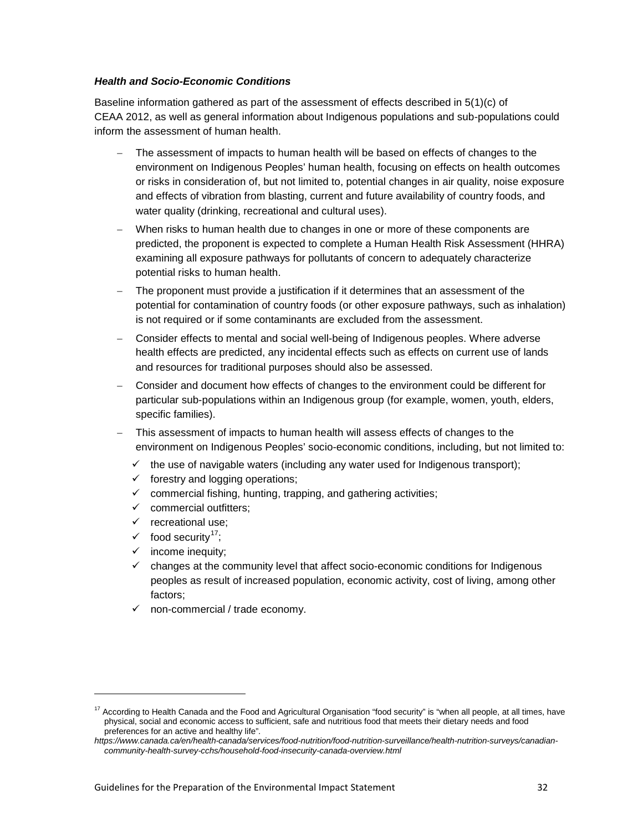#### *Health and Socio-Economic Conditions*

Baseline information gathered as part of the assessment of effects described in 5(1)(c) of CEAA 2012, as well as general information about Indigenous populations and sub-populations could inform the assessment of human health.

- The assessment of impacts to human health will be based on effects of changes to the environment on Indigenous Peoples' human health, focusing on effects on health outcomes or risks in consideration of, but not limited to, potential changes in air quality, noise exposure and effects of vibration from blasting, current and future availability of country foods, and water quality (drinking, recreational and cultural uses).
- − When risks to human health due to changes in one or more of these components are predicted, the proponent is expected to complete a Human Health Risk Assessment (HHRA) examining all exposure pathways for pollutants of concern to adequately characterize potential risks to human health.
- The proponent must provide a justification if it determines that an assessment of the potential for contamination of country foods (or other exposure pathways, such as inhalation) is not required or if some contaminants are excluded from the assessment.
- − Consider effects to mental and social well-being of Indigenous peoples. Where adverse health effects are predicted, any incidental effects such as effects on current use of lands and resources for traditional purposes should also be assessed.
- − Consider and document how effects of changes to the environment could be different for particular sub-populations within an Indigenous group (for example, women, youth, elders, specific families).
- This assessment of impacts to human health will assess effects of changes to the environment on Indigenous Peoples' socio-economic conditions, including, but not limited to:
	- $\checkmark$  the use of navigable waters (including any water used for Indigenous transport);
	- $\checkmark$  forestry and logging operations;
	- $\checkmark$  commercial fishing, hunting, trapping, and gathering activities;
	- $\checkmark$  commercial outfitters:
	- $\checkmark$  recreational use;
	- $\checkmark$  food security<sup>17</sup>;

- $\checkmark$  income inequity;
- $\checkmark$  changes at the community level that affect socio-economic conditions for Indigenous peoples as result of increased population, economic activity, cost of living, among other factors;
- $\checkmark$  non-commercial / trade economy.

<span id="page-35-0"></span><sup>&</sup>lt;sup>17</sup> According to Health Canada and the Food and Agricultural Organisation "food security" is "when all people, at all times, have physical, social and economic access to sufficient, safe and nutritious food that meets their dietary needs and food preferences for an active and healthy life".

*https://www.canada.ca/en/health-canada/services/food-nutrition/food-nutrition-surveillance/health-nutrition-surveys/canadiancommunity-health-survey-cchs/household-food-insecurity-canada-overview.html*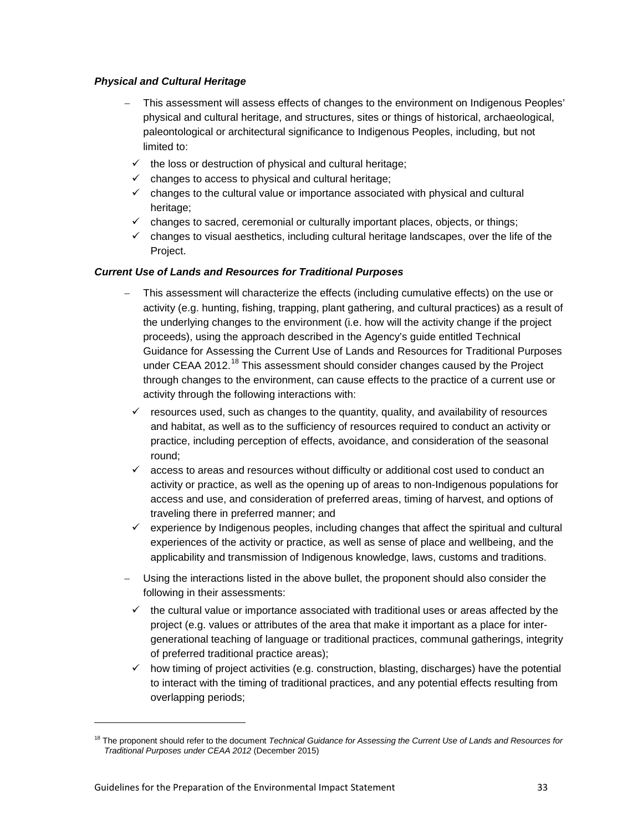### *Physical and Cultural Heritage*

- − This assessment will assess effects of changes to the environment on Indigenous Peoples' physical and cultural heritage, and structures, sites or things of historical, archaeological, paleontological or architectural significance to Indigenous Peoples, including, but not limited to:
- $\checkmark$  the loss or destruction of physical and cultural heritage;
- $\checkmark$  changes to access to physical and cultural heritage;
- $\checkmark$  changes to the cultural value or importance associated with physical and cultural heritage;
- $\checkmark$  changes to sacred, ceremonial or culturally important places, objects, or things;
- $\checkmark$  changes to visual aesthetics, including cultural heritage landscapes, over the life of the Project.

#### *Current Use of Lands and Resources for Traditional Purposes*

- This assessment will characterize the effects (including cumulative effects) on the use or activity (e.g. hunting, fishing, trapping, plant gathering, and cultural practices) as a result of the underlying changes to the environment (i.e. how will the activity change if the project proceeds), using the approach described in the Agency's guide entitled Technical Guidance for Assessing the Current Use of Lands and Resources for Traditional Purposes under CEAA 2012.<sup>[18](#page-36-0)</sup> This assessment should consider changes caused by the Project through changes to the environment, can cause effects to the practice of a current use or activity through the following interactions with:
- $\checkmark$  resources used, such as changes to the quantity, quality, and availability of resources and habitat, as well as to the sufficiency of resources required to conduct an activity or practice, including perception of effects, avoidance, and consideration of the seasonal round;
- $\checkmark$  access to areas and resources without difficulty or additional cost used to conduct an activity or practice, as well as the opening up of areas to non-Indigenous populations for access and use, and consideration of preferred areas, timing of harvest, and options of traveling there in preferred manner; and
- $\checkmark$  experience by Indigenous peoples, including changes that affect the spiritual and cultural experiences of the activity or practice, as well as sense of place and wellbeing, and the applicability and transmission of Indigenous knowledge, laws, customs and traditions.
- − Using the interactions listed in the above bullet, the proponent should also consider the following in their assessments:
	- $\checkmark$  the cultural value or importance associated with traditional uses or areas affected by the project (e.g. values or attributes of the area that make it important as a place for intergenerational teaching of language or traditional practices, communal gatherings, integrity of preferred traditional practice areas);
	- $\checkmark$  how timing of project activities (e.g. construction, blasting, discharges) have the potential to interact with the timing of traditional practices, and any potential effects resulting from overlapping periods;

<span id="page-36-0"></span><sup>&</sup>lt;sup>18</sup> The proponent should refer to the document *Technical Guidance for Assessing the Current Use of Lands and Resources for Traditional Purposes under CEAA 2012* (December 2015)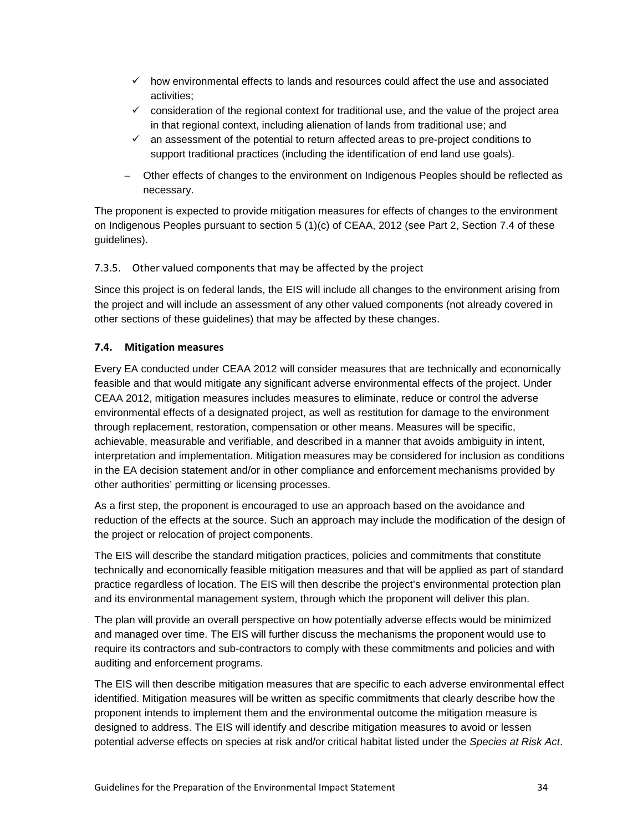- $\checkmark$  how environmental effects to lands and resources could affect the use and associated activities;
- $\checkmark$  consideration of the regional context for traditional use, and the value of the project area in that regional context, including alienation of lands from traditional use; and
- $\checkmark$  an assessment of the potential to return affected areas to pre-project conditions to support traditional practices (including the identification of end land use goals).
- − Other effects of changes to the environment on Indigenous Peoples should be reflected as necessary.

The proponent is expected to provide mitigation measures for effects of changes to the environment on Indigenous Peoples pursuant to section 5 (1)(c) of CEAA, 2012 (see Part 2, Section 7.4 of these guidelines).

# <span id="page-37-0"></span>7.3.5. Other valued components that may be affected by the project

Since this project is on federal lands, the EIS will include all changes to the environment arising from the project and will include an assessment of any other valued components (not already covered in other sections of these guidelines) that may be affected by these changes.

### <span id="page-37-1"></span>**7.4. Mitigation measures**

Every EA conducted under CEAA 2012 will consider measures that are technically and economically feasible and that would mitigate any significant adverse environmental effects of the project. Under CEAA 2012, mitigation measures includes measures to eliminate, reduce or control the adverse environmental effects of a designated project, as well as restitution for damage to the environment through replacement, restoration, compensation or other means. Measures will be specific, achievable, measurable and verifiable, and described in a manner that avoids ambiguity in intent, interpretation and implementation. Mitigation measures may be considered for inclusion as conditions in the EA decision statement and/or in other compliance and enforcement mechanisms provided by other authorities' permitting or licensing processes.

As a first step, the proponent is encouraged to use an approach based on the avoidance and reduction of the effects at the source. Such an approach may include the modification of the design of the project or relocation of project components.

The EIS will describe the standard mitigation practices, policies and commitments that constitute technically and economically feasible mitigation measures and that will be applied as part of standard practice regardless of location. The EIS will then describe the project's environmental protection plan and its environmental management system, through which the proponent will deliver this plan.

The plan will provide an overall perspective on how potentially adverse effects would be minimized and managed over time. The EIS will further discuss the mechanisms the proponent would use to require its contractors and sub-contractors to comply with these commitments and policies and with auditing and enforcement programs.

The EIS will then describe mitigation measures that are specific to each adverse environmental effect identified. Mitigation measures will be written as specific commitments that clearly describe how the proponent intends to implement them and the environmental outcome the mitigation measure is designed to address. The EIS will identify and describe mitigation measures to avoid or lessen potential adverse effects on species at risk and/or critical habitat listed under the *Species at Risk Act*.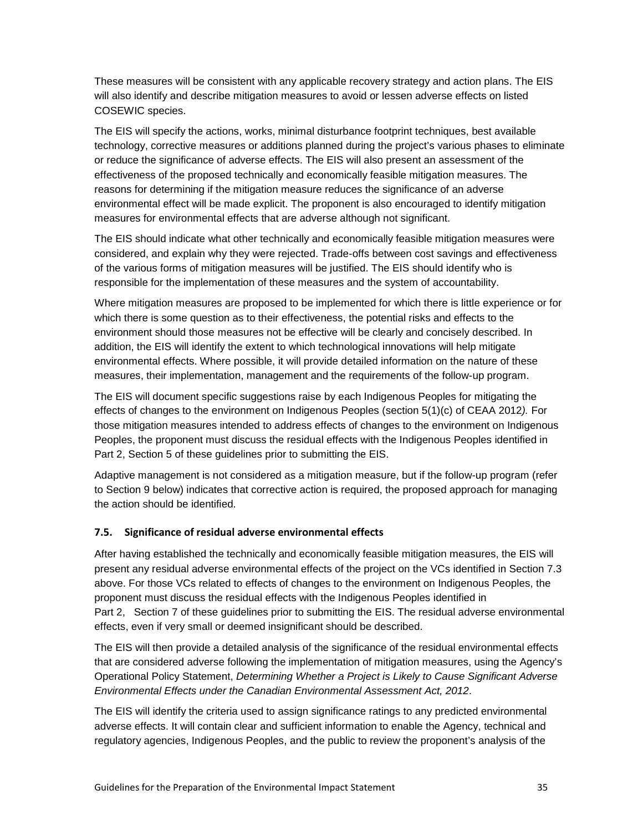These measures will be consistent with any applicable recovery strategy and action plans. The EIS will also identify and describe mitigation measures to avoid or lessen adverse effects on listed COSEWIC species.

The EIS will specify the actions, works, minimal disturbance footprint techniques, best available technology, corrective measures or additions planned during the project's various phases to eliminate or reduce the significance of adverse effects. The EIS will also present an assessment of the effectiveness of the proposed technically and economically feasible mitigation measures. The reasons for determining if the mitigation measure reduces the significance of an adverse environmental effect will be made explicit. The proponent is also encouraged to identify mitigation measures for environmental effects that are adverse although not significant.

The EIS should indicate what other technically and economically feasible mitigation measures were considered, and explain why they were rejected. Trade-offs between cost savings and effectiveness of the various forms of mitigation measures will be justified. The EIS should identify who is responsible for the implementation of these measures and the system of accountability.

Where mitigation measures are proposed to be implemented for which there is little experience or for which there is some question as to their effectiveness, the potential risks and effects to the environment should those measures not be effective will be clearly and concisely described. In addition, the EIS will identify the extent to which technological innovations will help mitigate environmental effects. Where possible, it will provide detailed information on the nature of these measures, their implementation, management and the requirements of the follow-up program.

The EIS will document specific suggestions raise by each Indigenous Peoples for mitigating the effects of changes to the environment on Indigenous Peoples (section 5(1)(c) of CEAA 2012*).* For those mitigation measures intended to address effects of changes to the environment on Indigenous Peoples, the proponent must discuss the residual effects with the Indigenous Peoples identified in Part 2, Section 5 of these guidelines prior to submitting the EIS.

Adaptive management is not considered as a mitigation measure, but if the follow-up program (refer to Section 9 below) indicates that corrective action is required, the proposed approach for managing the action should be identified.

# <span id="page-38-0"></span>**7.5. Significance of residual adverse environmental effects**

After having established the technically and economically feasible mitigation measures, the EIS will present any residual adverse environmental effects of the project on the VCs identified in Section 7.3 above. For those VCs related to effects of changes to the environment on Indigenous Peoples, the proponent must discuss the residual effects with the Indigenous Peoples identified in Part 2, Section 7 of these guidelines prior to submitting the EIS. The residual adverse environmental effects, even if very small or deemed insignificant should be described.

The EIS will then provide a detailed analysis of the significance of the residual environmental effects that are considered adverse following the implementation of mitigation measures, using the Agency's Operational Policy Statement, *Determining Whether a Project is Likely to Cause Significant Adverse Environmental Effects under the Canadian Environmental Assessment Act, 2012*.

The EIS will identify the criteria used to assign significance ratings to any predicted environmental adverse effects. It will contain clear and sufficient information to enable the Agency, technical and regulatory agencies, Indigenous Peoples, and the public to review the proponent's analysis of the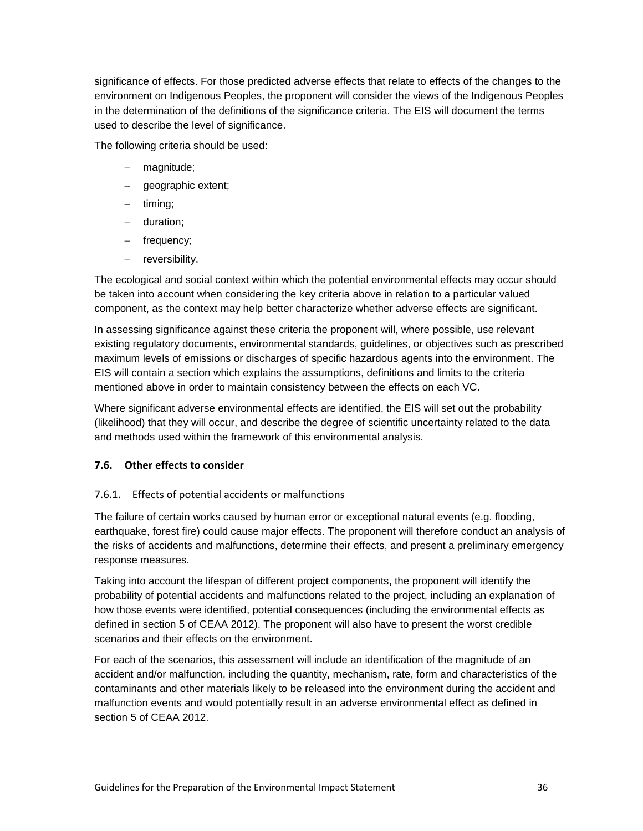significance of effects. For those predicted adverse effects that relate to effects of the changes to the environment on Indigenous Peoples, the proponent will consider the views of the Indigenous Peoples in the determination of the definitions of the significance criteria. The EIS will document the terms used to describe the level of significance.

The following criteria should be used:

- − magnitude;
- − geographic extent;
- − timing;
- − duration;
- − frequency;
- − reversibility.

The ecological and social context within which the potential environmental effects may occur should be taken into account when considering the key criteria above in relation to a particular valued component, as the context may help better characterize whether adverse effects are significant.

In assessing significance against these criteria the proponent will, where possible, use relevant existing regulatory documents, environmental standards, guidelines, or objectives such as prescribed maximum levels of emissions or discharges of specific hazardous agents into the environment. The EIS will contain a section which explains the assumptions, definitions and limits to the criteria mentioned above in order to maintain consistency between the effects on each VC.

Where significant adverse environmental effects are identified, the EIS will set out the probability (likelihood) that they will occur, and describe the degree of scientific uncertainty related to the data and methods used within the framework of this environmental analysis.

### <span id="page-39-0"></span>**7.6. Other effects to consider**

# <span id="page-39-1"></span>7.6.1. Effects of potential accidents or malfunctions

The failure of certain works caused by human error or exceptional natural events (e.g. flooding, earthquake, forest fire) could cause major effects. The proponent will therefore conduct an analysis of the risks of accidents and malfunctions, determine their effects, and present a preliminary emergency response measures.

Taking into account the lifespan of different project components, the proponent will identify the probability of potential accidents and malfunctions related to the project, including an explanation of how those events were identified, potential consequences (including the environmental effects as defined in section 5 of CEAA 2012). The proponent will also have to present the worst credible scenarios and their effects on the environment.

For each of the scenarios, this assessment will include an identification of the magnitude of an accident and/or malfunction, including the quantity, mechanism, rate, form and characteristics of the contaminants and other materials likely to be released into the environment during the accident and malfunction events and would potentially result in an adverse environmental effect as defined in section 5 of CEAA 2012.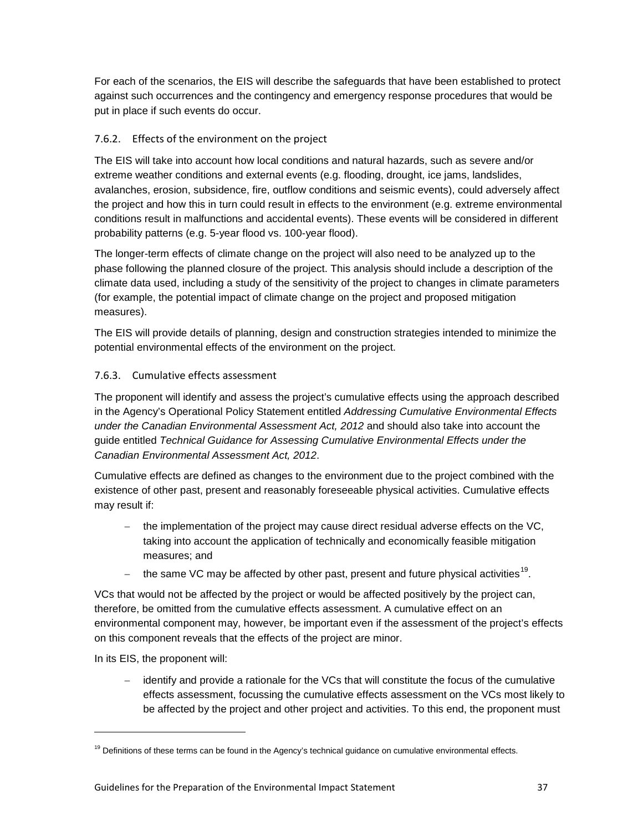For each of the scenarios, the EIS will describe the safeguards that have been established to protect against such occurrences and the contingency and emergency response procedures that would be put in place if such events do occur.

# <span id="page-40-0"></span>7.6.2. Effects of the environment on the project

The EIS will take into account how local conditions and natural hazards, such as severe and/or extreme weather conditions and external events (e.g. flooding, drought, ice jams, landslides, avalanches, erosion, subsidence, fire, outflow conditions and seismic events), could adversely affect the project and how this in turn could result in effects to the environment (e.g. extreme environmental conditions result in malfunctions and accidental events). These events will be considered in different probability patterns (e.g. 5-year flood vs. 100-year flood).

The longer-term effects of climate change on the project will also need to be analyzed up to the phase following the planned closure of the project. This analysis should include a description of the climate data used, including a study of the sensitivity of the project to changes in climate parameters (for example, the potential impact of climate change on the project and proposed mitigation measures).

The EIS will provide details of planning, design and construction strategies intended to minimize the potential environmental effects of the environment on the project.

# <span id="page-40-1"></span>7.6.3. Cumulative effects assessment

The proponent will identify and assess the project's cumulative effects using the approach described in the Agency's Operational Policy Statement entitled *Addressing Cumulative Environmental Effects under the Canadian Environmental Assessment Act, 2012* and should also take into account the guide entitled *Technical Guidance for Assessing Cumulative Environmental Effects under the Canadian Environmental Assessment Act, 2012*.

Cumulative effects are defined as changes to the environment due to the project combined with the existence of other past, present and reasonably foreseeable physical activities. Cumulative effects may result if:

- the implementation of the project may cause direct residual adverse effects on the VC, taking into account the application of technically and economically feasible mitigation measures; and
- the same VC may be affected by other past, present and future physical activities<sup>[19](#page-40-2)</sup>.

VCs that would not be affected by the project or would be affected positively by the project can, therefore, be omitted from the cumulative effects assessment. A cumulative effect on an environmental component may, however, be important even if the assessment of the project's effects on this component reveals that the effects of the project are minor.

In its EIS, the proponent will:

-

− identify and provide a rationale for the VCs that will constitute the focus of the cumulative effects assessment, focussing the cumulative effects assessment on the VCs most likely to be affected by the project and other project and activities. To this end, the proponent must

<span id="page-40-2"></span> $19$  Definitions of these terms can be found in the Agency's technical guidance on cumulative environmental effects.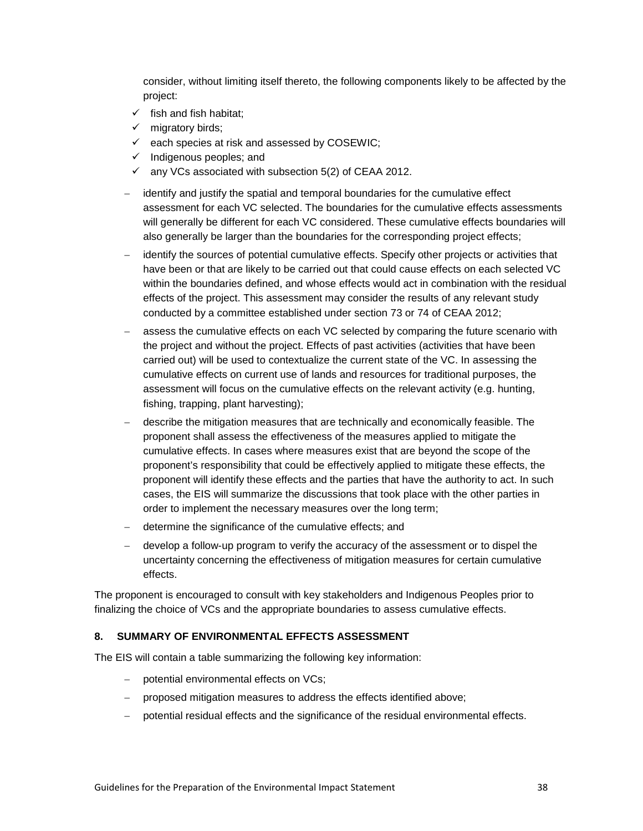consider, without limiting itself thereto, the following components likely to be affected by the project:

- $\checkmark$  fish and fish habitat:
- $\checkmark$  migratory birds;
- $\checkmark$  each species at risk and assessed by COSEWIC;
- $\checkmark$  Indigenous peoples; and
- $\checkmark$  any VCs associated with subsection 5(2) of CEAA 2012.
- − identify and justify the spatial and temporal boundaries for the cumulative effect assessment for each VC selected. The boundaries for the cumulative effects assessments will generally be different for each VC considered. These cumulative effects boundaries will also generally be larger than the boundaries for the corresponding project effects;
- identify the sources of potential cumulative effects. Specify other projects or activities that have been or that are likely to be carried out that could cause effects on each selected VC within the boundaries defined, and whose effects would act in combination with the residual effects of the project. This assessment may consider the results of any relevant study conducted by a committee established under section 73 or 74 of CEAA 2012;
- assess the cumulative effects on each VC selected by comparing the future scenario with the project and without the project. Effects of past activities (activities that have been carried out) will be used to contextualize the current state of the VC. In assessing the cumulative effects on current use of lands and resources for traditional purposes, the assessment will focus on the cumulative effects on the relevant activity (e.g. hunting, fishing, trapping, plant harvesting);
- − describe the mitigation measures that are technically and economically feasible. The proponent shall assess the effectiveness of the measures applied to mitigate the cumulative effects. In cases where measures exist that are beyond the scope of the proponent's responsibility that could be effectively applied to mitigate these effects, the proponent will identify these effects and the parties that have the authority to act. In such cases, the EIS will summarize the discussions that took place with the other parties in order to implement the necessary measures over the long term;
- determine the significance of the cumulative effects; and
- − develop a follow-up program to verify the accuracy of the assessment or to dispel the uncertainty concerning the effectiveness of mitigation measures for certain cumulative effects.

The proponent is encouraged to consult with key stakeholders and Indigenous Peoples prior to finalizing the choice of VCs and the appropriate boundaries to assess cumulative effects.

#### <span id="page-41-0"></span>**8. SUMMARY OF ENVIRONMENTAL EFFECTS ASSESSMENT**

The EIS will contain a table summarizing the following key information:

- − potential environmental effects on VCs;
- − proposed mitigation measures to address the effects identified above;
- − potential residual effects and the significance of the residual environmental effects.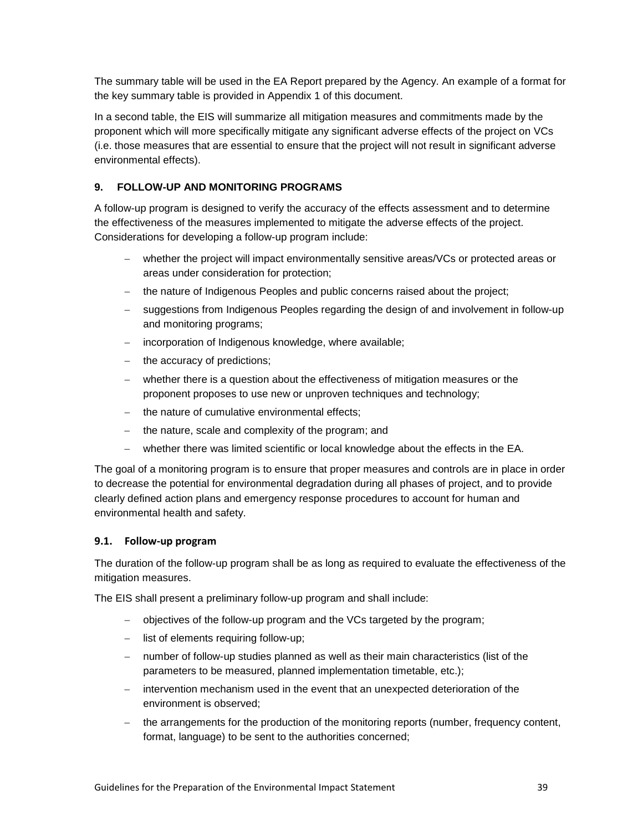The summary table will be used in the EA Report prepared by the Agency. An example of a format for the key summary table is provided in Appendix 1 of this document.

In a second table, the EIS will summarize all mitigation measures and commitments made by the proponent which will more specifically mitigate any significant adverse effects of the project on VCs (i.e. those measures that are essential to ensure that the project will not result in significant adverse environmental effects).

# <span id="page-42-0"></span>**9. FOLLOW-UP AND MONITORING PROGRAMS**

A follow-up program is designed to verify the accuracy of the effects assessment and to determine the effectiveness of the measures implemented to mitigate the adverse effects of the project. Considerations for developing a follow-up program include:

- − whether the project will impact environmentally sensitive areas/VCs or protected areas or areas under consideration for protection;
- − the nature of Indigenous Peoples and public concerns raised about the project;
- − suggestions from Indigenous Peoples regarding the design of and involvement in follow-up and monitoring programs;
- − incorporation of Indigenous knowledge, where available;
- − the accuracy of predictions;
- − whether there is a question about the effectiveness of mitigation measures or the proponent proposes to use new or unproven techniques and technology;
- the nature of cumulative environmental effects;
- the nature, scale and complexity of the program; and
- whether there was limited scientific or local knowledge about the effects in the EA.

The goal of a monitoring program is to ensure that proper measures and controls are in place in order to decrease the potential for environmental degradation during all phases of project, and to provide clearly defined action plans and emergency response procedures to account for human and environmental health and safety.

### <span id="page-42-1"></span>**9.1. Follow-up program**

The duration of the follow-up program shall be as long as required to evaluate the effectiveness of the mitigation measures.

The EIS shall present a preliminary follow-up program and shall include:

- − objectives of the follow-up program and the VCs targeted by the program;
- − list of elements requiring follow-up;
- − number of follow-up studies planned as well as their main characteristics (list of the parameters to be measured, planned implementation timetable, etc.);
- − intervention mechanism used in the event that an unexpected deterioration of the environment is observed;
- − the arrangements for the production of the monitoring reports (number, frequency content, format, language) to be sent to the authorities concerned;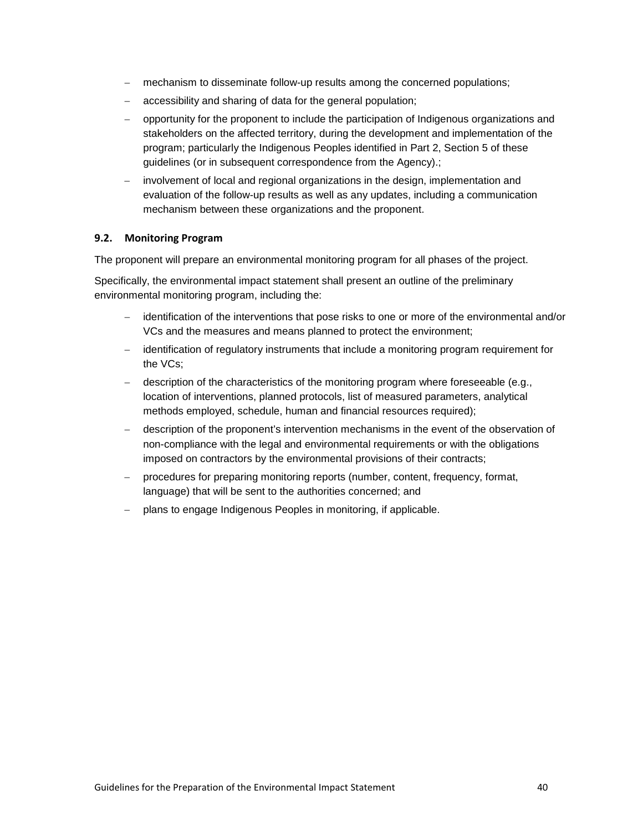- mechanism to disseminate follow-up results among the concerned populations;
- accessibility and sharing of data for the general population;
- − opportunity for the proponent to include the participation of Indigenous organizations and stakeholders on the affected territory, during the development and implementation of the program; particularly the Indigenous Peoples identified in Part 2, Section 5 of these guidelines (or in subsequent correspondence from the Agency).;
- − involvement of local and regional organizations in the design, implementation and evaluation of the follow-up results as well as any updates, including a communication mechanism between these organizations and the proponent.

#### <span id="page-43-0"></span>**9.2. Monitoring Program**

The proponent will prepare an environmental monitoring program for all phases of the project.

Specifically, the environmental impact statement shall present an outline of the preliminary environmental monitoring program, including the:

- − identification of the interventions that pose risks to one or more of the environmental and/or VCs and the measures and means planned to protect the environment;
- − identification of regulatory instruments that include a monitoring program requirement for the VCs;
- − description of the characteristics of the monitoring program where foreseeable (e.g., location of interventions, planned protocols, list of measured parameters, analytical methods employed, schedule, human and financial resources required);
- − description of the proponent's intervention mechanisms in the event of the observation of non-compliance with the legal and environmental requirements or with the obligations imposed on contractors by the environmental provisions of their contracts;
- procedures for preparing monitoring reports (number, content, frequency, format, language) that will be sent to the authorities concerned; and
- − plans to engage Indigenous Peoples in monitoring, if applicable.